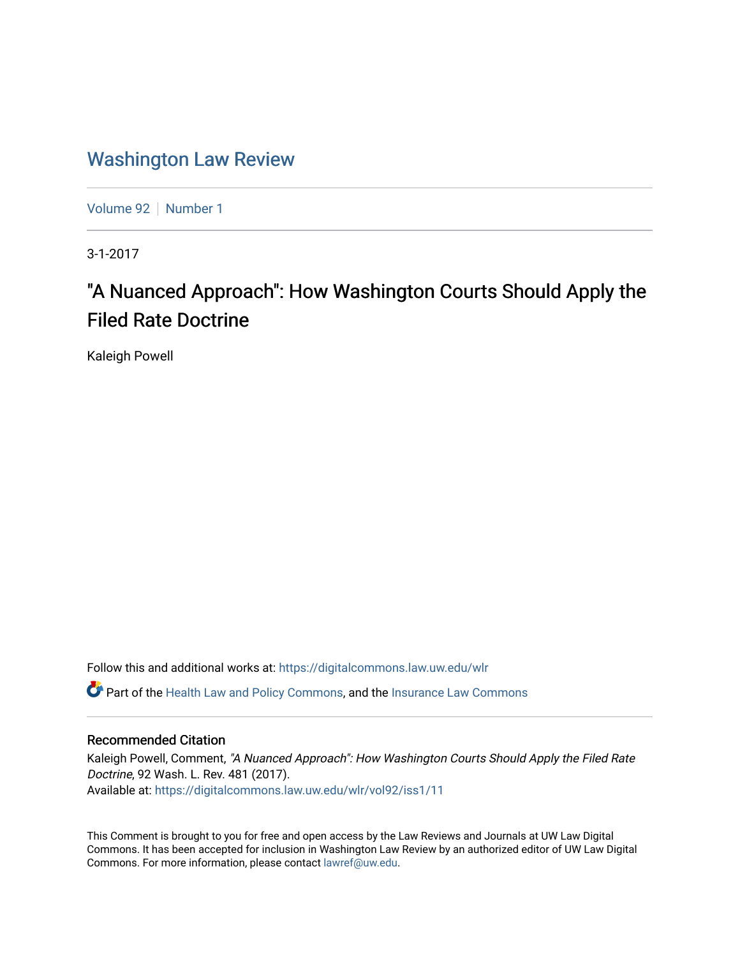# [Washington Law Review](https://digitalcommons.law.uw.edu/wlr)

[Volume 92](https://digitalcommons.law.uw.edu/wlr/vol92) | [Number 1](https://digitalcommons.law.uw.edu/wlr/vol92/iss1)

3-1-2017

# "A Nuanced Approach": How Washington Courts Should Apply the Filed Rate Doctrine

Kaleigh Powell

Follow this and additional works at: [https://digitalcommons.law.uw.edu/wlr](https://digitalcommons.law.uw.edu/wlr?utm_source=digitalcommons.law.uw.edu%2Fwlr%2Fvol92%2Fiss1%2F11&utm_medium=PDF&utm_campaign=PDFCoverPages)

**C** Part of the [Health Law and Policy Commons](http://network.bepress.com/hgg/discipline/901?utm_source=digitalcommons.law.uw.edu%2Fwlr%2Fvol92%2Fiss1%2F11&utm_medium=PDF&utm_campaign=PDFCoverPages), and the Insurance Law Commons

# Recommended Citation

Kaleigh Powell, Comment, "A Nuanced Approach": How Washington Courts Should Apply the Filed Rate Doctrine, 92 Wash. L. Rev. 481 (2017). Available at: [https://digitalcommons.law.uw.edu/wlr/vol92/iss1/11](https://digitalcommons.law.uw.edu/wlr/vol92/iss1/11?utm_source=digitalcommons.law.uw.edu%2Fwlr%2Fvol92%2Fiss1%2F11&utm_medium=PDF&utm_campaign=PDFCoverPages) 

This Comment is brought to you for free and open access by the Law Reviews and Journals at UW Law Digital Commons. It has been accepted for inclusion in Washington Law Review by an authorized editor of UW Law Digital Commons. For more information, please contact [lawref@uw.edu](mailto:lawref@uw.edu).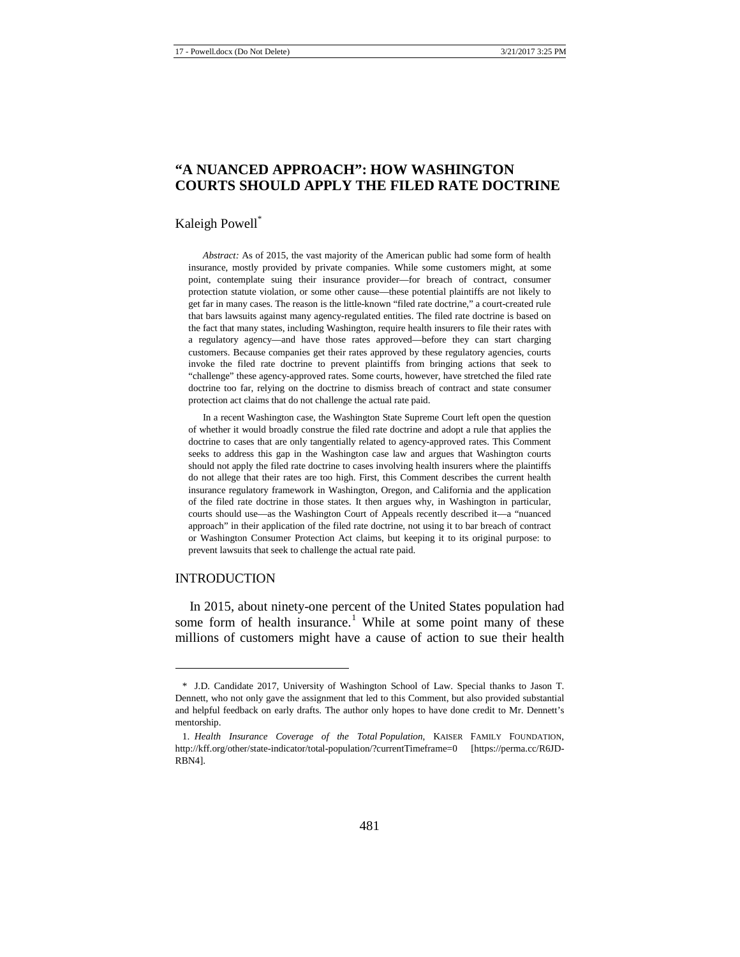# **"A NUANCED APPROACH": HOW WASHINGTON COURTS SHOULD APPLY THE FILED RATE DOCTRINE**

#### Kaleigh Powell\*

*Abstract:* As of 2015, the vast majority of the American public had some form of health insurance, mostly provided by private companies. While some customers might, at some point, contemplate suing their insurance provider—for breach of contract, consumer protection statute violation, or some other cause—these potential plaintiffs are not likely to get far in many cases. The reason is the little-known "filed rate doctrine," a court-created rule that bars lawsuits against many agency-regulated entities. The filed rate doctrine is based on the fact that many states, including Washington, require health insurers to file their rates with a regulatory agency—and have those rates approved—before they can start charging customers. Because companies get their rates approved by these regulatory agencies, courts invoke the filed rate doctrine to prevent plaintiffs from bringing actions that seek to "challenge" these agency-approved rates. Some courts, however, have stretched the filed rate doctrine too far, relying on the doctrine to dismiss breach of contract and state consumer protection act claims that do not challenge the actual rate paid.

In a recent Washington case, the Washington State Supreme Court left open the question of whether it would broadly construe the filed rate doctrine and adopt a rule that applies the doctrine to cases that are only tangentially related to agency-approved rates. This Comment seeks to address this gap in the Washington case law and argues that Washington courts should not apply the filed rate doctrine to cases involving health insurers where the plaintiffs do not allege that their rates are too high. First, this Comment describes the current health insurance regulatory framework in Washington, Oregon, and California and the application of the filed rate doctrine in those states. It then argues why, in Washington in particular, courts should use—as the Washington Court of Appeals recently described it—a "nuanced approach" in their application of the filed rate doctrine, not using it to bar breach of contract or Washington Consumer Protection Act claims, but keeping it to its original purpose: to prevent lawsuits that seek to challenge the actual rate paid.

#### INTRODUCTION

**.** 

In 2015, about ninety-one percent of the United States population had some form of health insurance.<sup>[1](#page-1-0)</sup> While at some point many of these millions of customers might have a cause of action to sue their health

<span id="page-1-0"></span><sup>\*</sup> J.D. Candidate 2017, University of Washington School of Law. Special thanks to Jason T. Dennett, who not only gave the assignment that led to this Comment, but also provided substantial and helpful feedback on early drafts. The author only hopes to have done credit to Mr. Dennett's mentorship.

<sup>1.</sup> *Health Insurance Coverage of the Total Population*, KAISER FAMILY FOUNDATION, http://kff.org/other/state-indicator/total-population/?currentTimeframe=0 [https://perma.cc/R6JD-RBN4].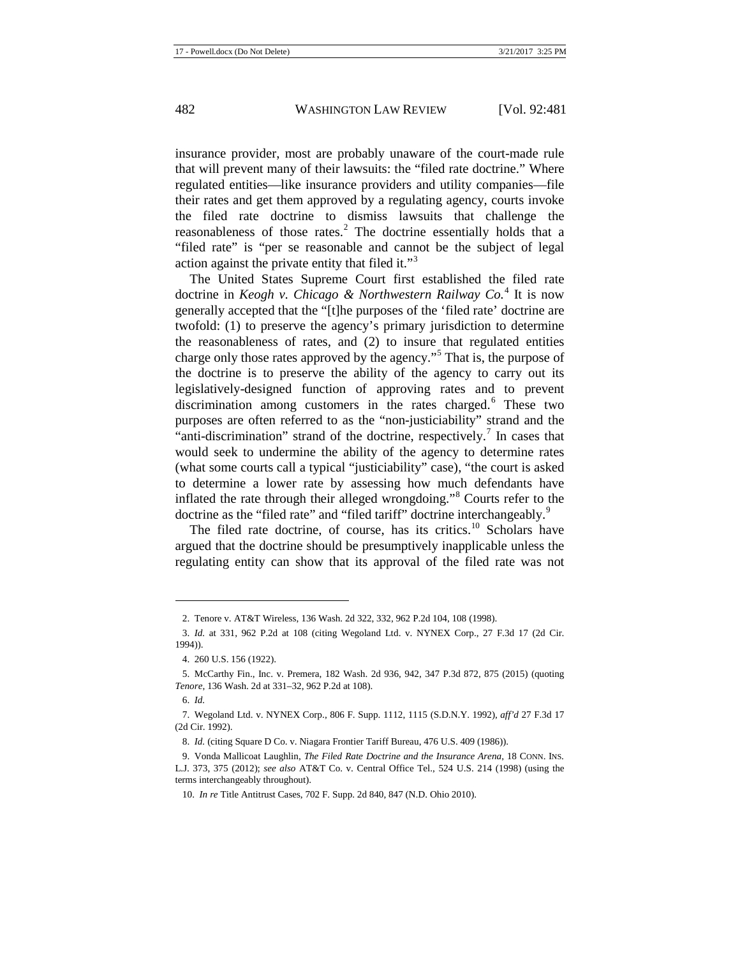insurance provider, most are probably unaware of the court-made rule that will prevent many of their lawsuits: the "filed rate doctrine." Where regulated entities—like insurance providers and utility companies—file their rates and get them approved by a regulating agency, courts invoke the filed rate doctrine to dismiss lawsuits that challenge the reasonableness of those rates.<sup>[2](#page-2-0)</sup> The doctrine essentially holds that a "filed rate" is "per se reasonable and cannot be the subject of legal action against the private entity that filed it."<sup>[3](#page-2-1)</sup>

The United States Supreme Court first established the filed rate doctrine in *Keogh v. Chicago & Northwestern Railway Co.*[4](#page-2-2) It is now generally accepted that the "[t]he purposes of the 'filed rate' doctrine are twofold: (1) to preserve the agency's primary jurisdiction to determine the reasonableness of rates, and (2) to insure that regulated entities charge only those rates approved by the agency."[5](#page-2-3) That is, the purpose of the doctrine is to preserve the ability of the agency to carry out its legislatively-designed function of approving rates and to prevent discrimination among customers in the rates charged.<sup>[6](#page-2-4)</sup> These two purposes are often referred to as the "non-justiciability" strand and the "anti-discrimination" strand of the doctrine, respectively.<sup>[7](#page-2-5)</sup> In cases that would seek to undermine the ability of the agency to determine rates (what some courts call a typical "justiciability" case), "the court is asked to determine a lower rate by assessing how much defendants have inflated the rate through their alleged wrongdoing."[8](#page-2-6) Courts refer to the doctrine as the "filed rate" and "filed tariff" doctrine interchangeably.<sup>[9](#page-2-7)</sup>

<span id="page-2-9"></span>The filed rate doctrine, of course, has its critics.<sup>[10](#page-2-8)</sup> Scholars have argued that the doctrine should be presumptively inapplicable unless the regulating entity can show that its approval of the filed rate was not

<sup>2.</sup> Tenore v. AT&T Wireless, 136 Wash. 2d 322, 332, 962 P.2d 104, 108 (1998).

<span id="page-2-1"></span><span id="page-2-0"></span><sup>3.</sup> *Id.* at 331, 962 P.2d at 108 (citing Wegoland Ltd. v. NYNEX Corp., 27 F.3d 17 (2d Cir. 1994)).

<sup>4.</sup> 260 U.S. 156 (1922).

<span id="page-2-3"></span><span id="page-2-2"></span><sup>5.</sup> McCarthy Fin., Inc. v. Premera, 182 Wash. 2d 936, 942, 347 P.3d 872, 875 (2015) (quoting *Tenore*, 136 Wash. 2d at 331–32, 962 P.2d at 108).

<sup>6.</sup> *Id.*

<span id="page-2-5"></span><span id="page-2-4"></span><sup>7.</sup> Wegoland Ltd. v. NYNEX Corp., 806 F. Supp. 1112, 1115 (S.D.N.Y. 1992), *aff'd* 27 F.3d 17 (2d Cir. 1992).

<sup>8.</sup> *Id.* (citing Square D Co. v. Niagara Frontier Tariff Bureau, 476 U.S. 409 (1986)).

<span id="page-2-8"></span><span id="page-2-7"></span><span id="page-2-6"></span><sup>9.</sup> Vonda Mallicoat Laughlin, *The Filed Rate Doctrine and the Insurance Arena*, 18 CONN. INS. L.J. 373, 375 (2012); *see also* AT&T Co. v. Central Office Tel., 524 U.S. 214 (1998) (using the terms interchangeably throughout).

<sup>10.</sup> *In re* Title Antitrust Cases, 702 F. Supp. 2d 840, 847 (N.D. Ohio 2010).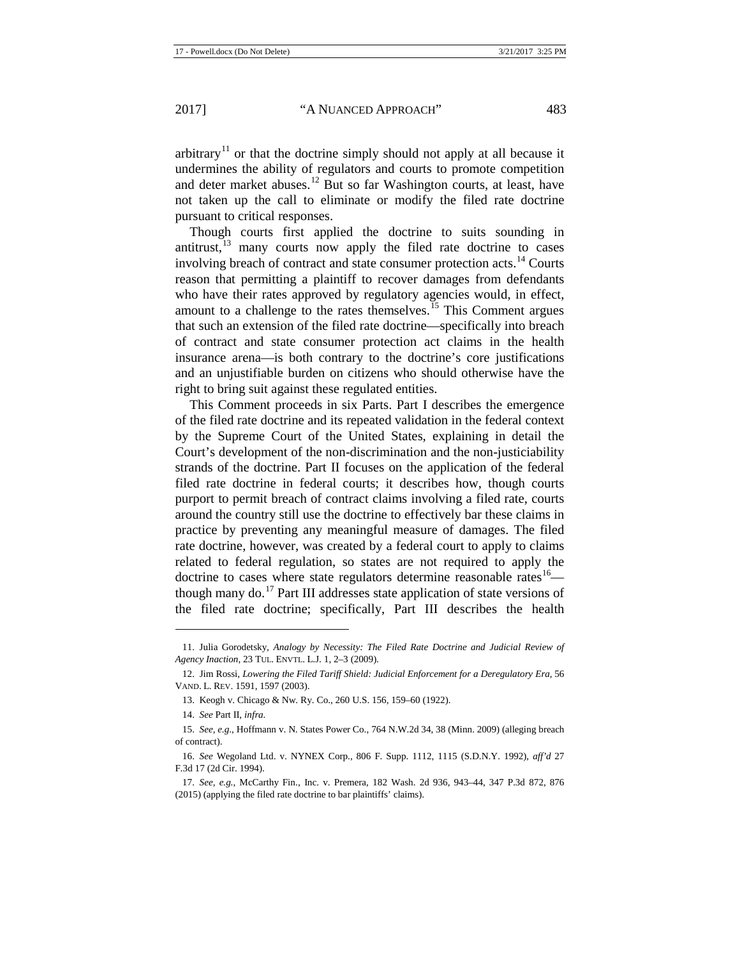arbitrary<sup>[11](#page-3-0)</sup> or that the doctrine simply should not apply at all because it undermines the ability of regulators and courts to promote competition and deter market abuses.[12](#page-3-1) But so far Washington courts, at least, have not taken up the call to eliminate or modify the filed rate doctrine pursuant to critical responses.

Though courts first applied the doctrine to suits sounding in antitrust, $13$  many courts now apply the filed rate doctrine to cases involving breach of contract and state consumer protection acts.<sup>[14](#page-3-3)</sup> Courts reason that permitting a plaintiff to recover damages from defendants who have their rates approved by regulatory agencies would, in effect, amount to a challenge to the rates themselves.<sup>[15](#page-3-4)</sup> This Comment argues that such an extension of the filed rate doctrine—specifically into breach of contract and state consumer protection act claims in the health insurance arena—is both contrary to the doctrine's core justifications and an unjustifiable burden on citizens who should otherwise have the right to bring suit against these regulated entities.

This Comment proceeds in six Parts. Part I describes the emergence of the filed rate doctrine and its repeated validation in the federal context by the Supreme Court of the United States, explaining in detail the Court's development of the non-discrimination and the non-justiciability strands of the doctrine. Part II focuses on the application of the federal filed rate doctrine in federal courts; it describes how, though courts purport to permit breach of contract claims involving a filed rate, courts around the country still use the doctrine to effectively bar these claims in practice by preventing any meaningful measure of damages. The filed rate doctrine, however, was created by a federal court to apply to claims related to federal regulation, so states are not required to apply the doctrine to cases where state regulators determine reasonable rates<sup>16</sup>— though many do.<sup>[17](#page-3-6)</sup> Part III addresses state application of state versions of the filed rate doctrine; specifically, Part III describes the health

<span id="page-3-0"></span><sup>11.</sup> Julia Gorodetsky, *Analogy by Necessity: The Filed Rate Doctrine and Judicial Review of Agency Inaction*, 23 TUL. ENVTL. L.J. 1, 2–3 (2009).

<span id="page-3-1"></span><sup>12.</sup> Jim Rossi, *Lowering the Filed Tariff Shield: Judicial Enforcement for a Deregulatory Era*, 56 VAND. L. REV. 1591, 1597 (2003).

<sup>13.</sup> Keogh v. Chicago & Nw. Ry. Co., 260 U.S. 156, 159–60 (1922).

<sup>14.</sup> *See* Part II, *infra.*

<span id="page-3-4"></span><span id="page-3-3"></span><span id="page-3-2"></span><sup>15.</sup> *See, e.g.*, Hoffmann v. N. States Power Co., 764 N.W.2d 34, 38 (Minn. 2009) (alleging breach of contract).

<span id="page-3-5"></span><sup>16.</sup> *See* Wegoland Ltd. v. NYNEX Corp., 806 F. Supp. 1112, 1115 (S.D.N.Y. 1992), *aff'd* 27 F.3d 17 (2d Cir. 1994).

<span id="page-3-6"></span><sup>17.</sup> *See, e.g.*, McCarthy Fin., Inc. v. Premera, 182 Wash. 2d 936, 943–44, 347 P.3d 872, 876 (2015) (applying the filed rate doctrine to bar plaintiffs' claims).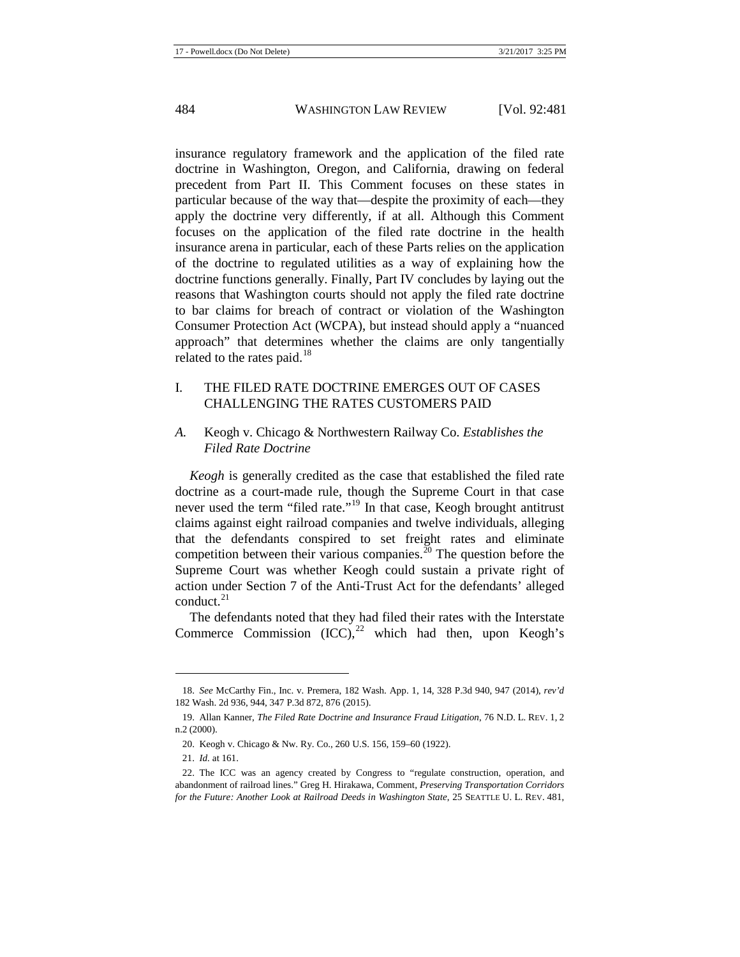insurance regulatory framework and the application of the filed rate doctrine in Washington, Oregon, and California, drawing on federal precedent from Part II. This Comment focuses on these states in particular because of the way that—despite the proximity of each—they apply the doctrine very differently, if at all. Although this Comment focuses on the application of the filed rate doctrine in the health insurance arena in particular, each of these Parts relies on the application of the doctrine to regulated utilities as a way of explaining how the doctrine functions generally. Finally, Part IV concludes by laying out the reasons that Washington courts should not apply the filed rate doctrine to bar claims for breach of contract or violation of the Washington Consumer Protection Act (WCPA), but instead should apply a "nuanced approach" that determines whether the claims are only tangentially related to the rates paid.<sup>[18](#page-4-0)</sup>

# I. THE FILED RATE DOCTRINE EMERGES OUT OF CASES CHALLENGING THE RATES CUSTOMERS PAID

# *A.* Keogh v. Chicago & Northwestern Railway Co. *Establishes the Filed Rate Doctrine*

*Keogh* is generally credited as the case that established the filed rate doctrine as a court-made rule, though the Supreme Court in that case never used the term "filed rate."<sup>[19](#page-4-1)</sup> In that case, Keogh brought antitrust claims against eight railroad companies and twelve individuals, alleging that the defendants conspired to set freight rates and eliminate competition between their various companies. $^{20}$  $^{20}$  $^{20}$  The question before the Supreme Court was whether Keogh could sustain a private right of action under Section 7 of the Anti-Trust Act for the defendants' alleged conduct. $^{21}$  $^{21}$  $^{21}$ 

The defendants noted that they had filed their rates with the Interstate Commerce Commission  $(ICC)$ ,<sup>[22](#page-4-4)</sup> which had then, upon Keogh's

<span id="page-4-0"></span><sup>18.</sup> *See* McCarthy Fin., Inc. v. Premera, 182 Wash. App. 1, 14, 328 P.3d 940, 947 (2014), *rev'd*  182 Wash. 2d 936, 944, 347 P.3d 872, 876 (2015).

<span id="page-4-1"></span><sup>19.</sup> Allan Kanner, *The Filed Rate Doctrine and Insurance Fraud Litigation*, 76 N.D. L. REV. 1, 2 n.2 (2000).

<sup>20.</sup> Keogh v. Chicago & Nw. Ry. Co., 260 U.S. 156, 159–60 (1922).

<sup>21.</sup> *Id.* at 161.

<span id="page-4-4"></span><span id="page-4-3"></span><span id="page-4-2"></span><sup>22.</sup> The ICC was an agency created by Congress to "regulate construction, operation, and abandonment of railroad lines." Greg H. Hirakawa, Comment, *Preserving Transportation Corridors for the Future: Another Look at Railroad Deeds in Washington State*, 25 SEATTLE U. L. REV. 481,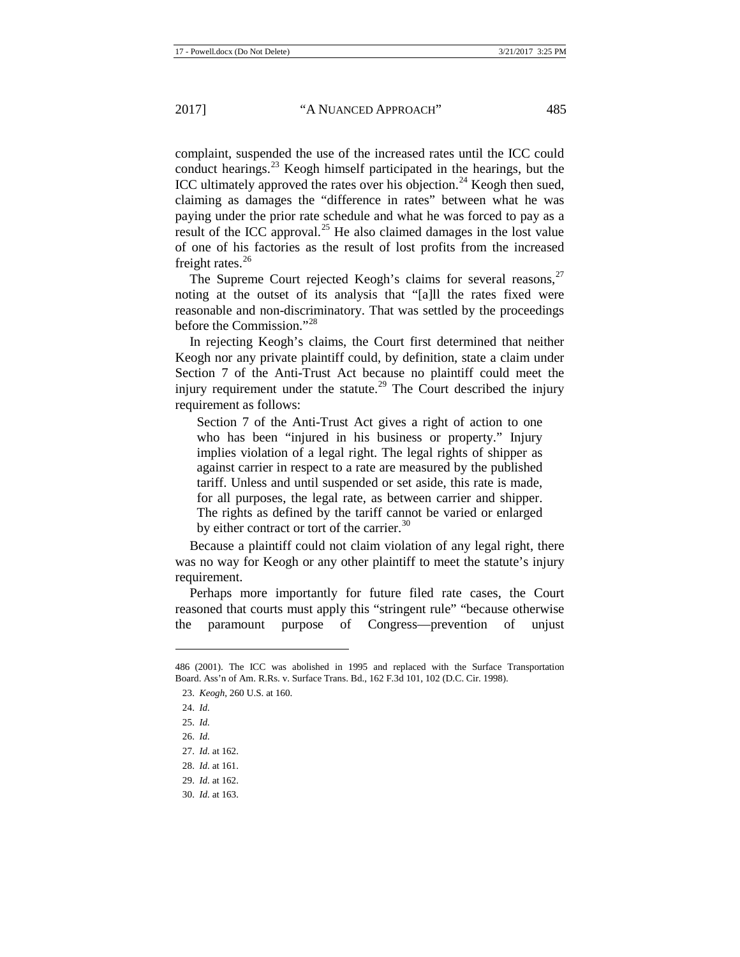complaint, suspended the use of the increased rates until the ICC could conduct hearings. $^{23}$  $^{23}$  $^{23}$  Keogh himself participated in the hearings, but the ICC ultimately approved the rates over his objection.<sup>[24](#page-5-1)</sup> Keogh then sued, claiming as damages the "difference in rates" between what he was paying under the prior rate schedule and what he was forced to pay as a result of the ICC approval.<sup>[25](#page-5-2)</sup> He also claimed damages in the lost value of one of his factories as the result of lost profits from the increased freight rates. $^{26}$  $^{26}$  $^{26}$ 

The Supreme Court rejected Keogh's claims for several reasons, $27$ noting at the outset of its analysis that "[a]ll the rates fixed were reasonable and non-discriminatory. That was settled by the proceedings before the Commission."[28](#page-5-5)

In rejecting Keogh's claims, the Court first determined that neither Keogh nor any private plaintiff could, by definition, state a claim under Section 7 of the Anti-Trust Act because no plaintiff could meet the injury requirement under the statute.<sup>[29](#page-5-6)</sup> The Court described the injury requirement as follows:

Section 7 of the Anti-Trust Act gives a right of action to one who has been "injured in his business or property." Injury implies violation of a legal right. The legal rights of shipper as against carrier in respect to a rate are measured by the published tariff. Unless and until suspended or set aside, this rate is made, for all purposes, the legal rate, as between carrier and shipper. The rights as defined by the tariff cannot be varied or enlarged by either contract or tort of the carrier. $30$ 

Because a plaintiff could not claim violation of any legal right, there was no way for Keogh or any other plaintiff to meet the statute's injury requirement.

Perhaps more importantly for future filed rate cases, the Court reasoned that courts must apply this "stringent rule" "because otherwise the paramount purpose of Congress—prevention of unjust

<span id="page-5-0"></span><sup>486</sup> (2001). The ICC was abolished in 1995 and replaced with the Surface Transportation Board. Ass'n of Am. R.Rs. v. Surface Trans. Bd., 162 F.3d 101, 102 (D.C. Cir. 1998).

<sup>23.</sup> *Keogh*, 260 U.S. at 160.

<span id="page-5-1"></span><sup>24.</sup> *Id.*

<span id="page-5-3"></span><span id="page-5-2"></span><sup>25.</sup> *Id.* 

<sup>26.</sup> *Id.*

<span id="page-5-4"></span><sup>27.</sup> *Id.* at 162.

<span id="page-5-5"></span><sup>28.</sup> *Id.* at 161.

<span id="page-5-6"></span><sup>29.</sup> *Id.* at 162.

<span id="page-5-7"></span><sup>30.</sup> *Id.* at 163.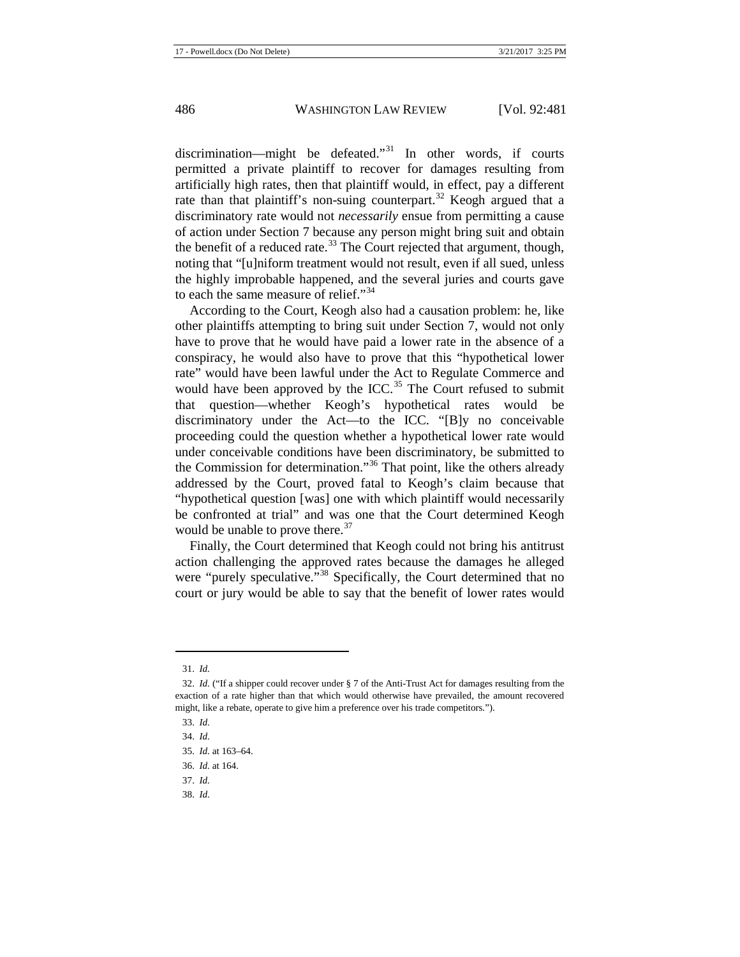discrimination—might be defeated."<sup>[31](#page-6-0)</sup> In other words, if courts permitted a private plaintiff to recover for damages resulting from artificially high rates, then that plaintiff would, in effect, pay a different rate than that plaintiff's non-suing counterpart.<sup>[32](#page-6-1)</sup> Keogh argued that a discriminatory rate would not *necessarily* ensue from permitting a cause of action under Section 7 because any person might bring suit and obtain the benefit of a reduced rate.<sup>[33](#page-6-2)</sup> The Court rejected that argument, though, noting that "[u]niform treatment would not result, even if all sued, unless the highly improbable happened, and the several juries and courts gave to each the same measure of relief."<sup>[34](#page-6-3)</sup>

According to the Court, Keogh also had a causation problem: he, like other plaintiffs attempting to bring suit under Section 7, would not only have to prove that he would have paid a lower rate in the absence of a conspiracy, he would also have to prove that this "hypothetical lower rate" would have been lawful under the Act to Regulate Commerce and would have been approved by the ICC.<sup>[35](#page-6-4)</sup> The Court refused to submit that question—whether Keogh's hypothetical rates would be discriminatory under the Act—to the ICC. "[B]y no conceivable proceeding could the question whether a hypothetical lower rate would under conceivable conditions have been discriminatory, be submitted to the Commission for determination."[36](#page-6-5) That point, like the others already addressed by the Court, proved fatal to Keogh's claim because that "hypothetical question [was] one with which plaintiff would necessarily be confronted at trial" and was one that the Court determined Keogh would be unable to prove there.<sup>[37](#page-6-6)</sup>

Finally, the Court determined that Keogh could not bring his antitrust action challenging the approved rates because the damages he alleged were "purely speculative."<sup>[38](#page-6-7)</sup> Specifically, the Court determined that no court or jury would be able to say that the benefit of lower rates would

 $\overline{a}$ 

<span id="page-6-7"></span>38. *Id.* 

<sup>31.</sup> *Id.*

<span id="page-6-2"></span><span id="page-6-1"></span><span id="page-6-0"></span><sup>32.</sup> *Id.* ("If a shipper could recover under § 7 of the Anti-Trust Act for damages resulting from the exaction of a rate higher than that which would otherwise have prevailed, the amount recovered might, like a rebate, operate to give him a preference over his trade competitors.").

<sup>33.</sup> *Id.* 

<span id="page-6-3"></span><sup>34.</sup> *Id.* 

<span id="page-6-4"></span><sup>35.</sup> *Id.* at 163–64.

<span id="page-6-5"></span><sup>36.</sup> *Id.* at 164.

<span id="page-6-6"></span><sup>37.</sup> *Id.*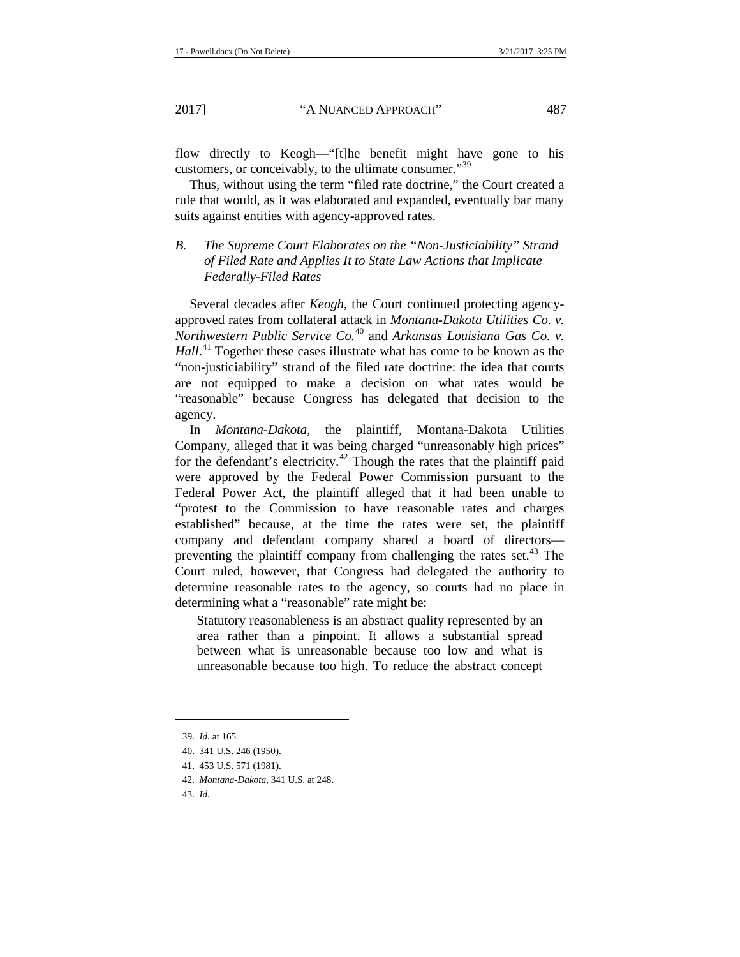flow directly to Keogh—"[t]he benefit might have gone to his customers, or conceivably, to the ultimate consumer."<sup>[39](#page-7-0)</sup>

Thus, without using the term "filed rate doctrine," the Court created a rule that would, as it was elaborated and expanded, eventually bar many suits against entities with agency-approved rates.

# *B. The Supreme Court Elaborates on the "Non-Justiciability" Strand of Filed Rate and Applies It to State Law Actions that Implicate Federally-Filed Rates*

Several decades after *Keogh*, the Court continued protecting agencyapproved rates from collateral attack in *Montana-Dakota Utilities Co. v. Northwestern Public Service Co.*[40](#page-7-1) and *Arkansas Louisiana Gas Co. v.*  Hall.<sup>[41](#page-7-2)</sup> Together these cases illustrate what has come to be known as the "non-justiciability" strand of the filed rate doctrine: the idea that courts are not equipped to make a decision on what rates would be "reasonable" because Congress has delegated that decision to the agency.

In *Montana-Dakota*, the plaintiff, Montana-Dakota Utilities Company, alleged that it was being charged "unreasonably high prices" for the defendant's electricity.<sup>[42](#page-7-3)</sup> Though the rates that the plaintiff paid were approved by the Federal Power Commission pursuant to the Federal Power Act, the plaintiff alleged that it had been unable to "protest to the Commission to have reasonable rates and charges established" because, at the time the rates were set, the plaintiff company and defendant company shared a board of directors preventing the plaintiff company from challenging the rates set. $43$  The Court ruled, however, that Congress had delegated the authority to determine reasonable rates to the agency, so courts had no place in determining what a "reasonable" rate might be:

Statutory reasonableness is an abstract quality represented by an area rather than a pinpoint. It allows a substantial spread between what is unreasonable because too low and what is unreasonable because too high. To reduce the abstract concept

<span id="page-7-0"></span><sup>39.</sup> *Id.* at 165*.* 

<span id="page-7-1"></span><sup>40.</sup> 341 U.S. 246 (1950).

<span id="page-7-2"></span><sup>41.</sup> 453 U.S. 571 (1981).

<span id="page-7-3"></span><sup>42.</sup> *Montana-Dakota*, 341 U.S. at 248.

<span id="page-7-4"></span><sup>43.</sup> *Id.*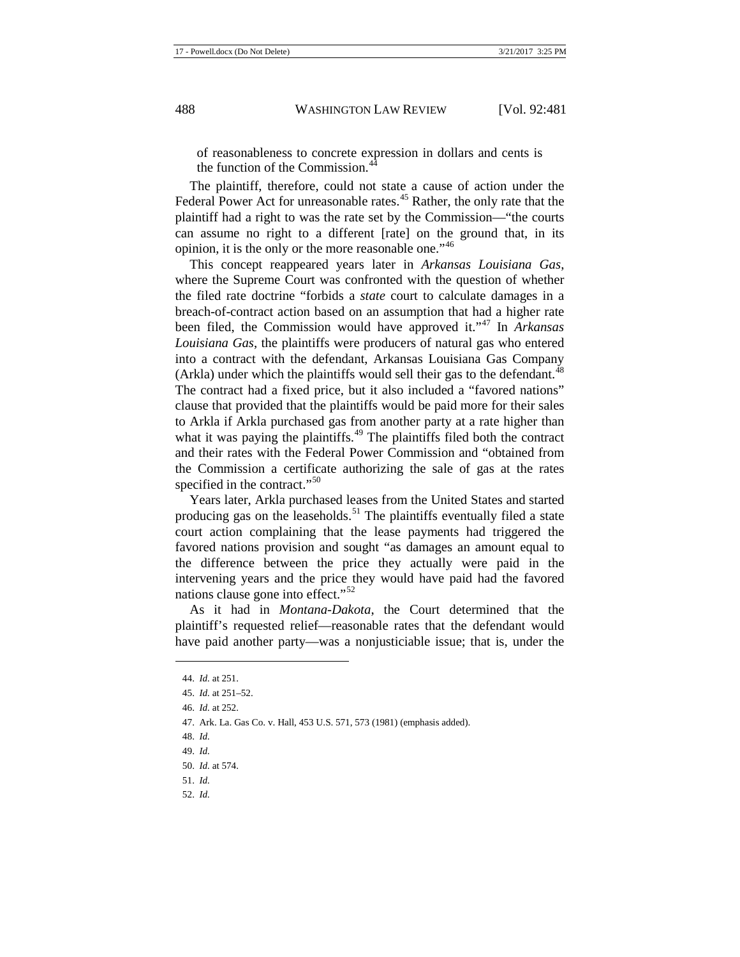of reasonableness to concrete expression in dollars and cents is the function of the Commission.<sup>[44](#page-8-0)</sup>

The plaintiff, therefore, could not state a cause of action under the Federal Power Act for unreasonable rates.<sup>[45](#page-8-1)</sup> Rather, the only rate that the plaintiff had a right to was the rate set by the Commission—"the courts can assume no right to a different [rate] on the ground that, in its opinion, it is the only or the more reasonable one."<sup>[46](#page-8-2)</sup>

This concept reappeared years later in *Arkansas Louisiana Gas*, where the Supreme Court was confronted with the question of whether the filed rate doctrine "forbids a *state* court to calculate damages in a breach-of-contract action based on an assumption that had a higher rate been filed, the Commission would have approved it."[47](#page-8-3) In *Arkansas Louisiana Gas*, the plaintiffs were producers of natural gas who entered into a contract with the defendant, Arkansas Louisiana Gas Company (Arkla) under which the plaintiffs would sell their gas to the defendant.<sup>[48](#page-8-4)</sup> The contract had a fixed price, but it also included a "favored nations" clause that provided that the plaintiffs would be paid more for their sales to Arkla if Arkla purchased gas from another party at a rate higher than what it was paying the plaintiffs.<sup>[49](#page-8-5)</sup> The plaintiffs filed both the contract and their rates with the Federal Power Commission and "obtained from the Commission a certificate authorizing the sale of gas at the rates specified in the contract."<sup>[50](#page-8-6)</sup>

Years later, Arkla purchased leases from the United States and started producing gas on the leaseholds.<sup>[51](#page-8-7)</sup> The plaintiffs eventually filed a state court action complaining that the lease payments had triggered the favored nations provision and sought "as damages an amount equal to the difference between the price they actually were paid in the intervening years and the price they would have paid had the favored nations clause gone into effect."[52](#page-8-8)

As it had in *Montana-Dakota*, the Court determined that the plaintiff's requested relief—reasonable rates that the defendant would have paid another party—was a nonjusticiable issue; that is, under the

<span id="page-8-5"></span><span id="page-8-4"></span>48. *Id.*

<span id="page-8-1"></span><span id="page-8-0"></span>**.** 

49. *Id.*

- <span id="page-8-7"></span>51. *Id.*
- <span id="page-8-8"></span>52. *Id.*

<sup>44.</sup> *Id.* at 251.

<sup>45.</sup> *Id.* at 251–52.

<span id="page-8-2"></span><sup>46.</sup> *Id.* at 252.

<span id="page-8-3"></span><sup>47.</sup> Ark. La. Gas Co. v. Hall, 453 U.S. 571, 573 (1981) (emphasis added).

<span id="page-8-6"></span><sup>50.</sup> *Id.* at 574.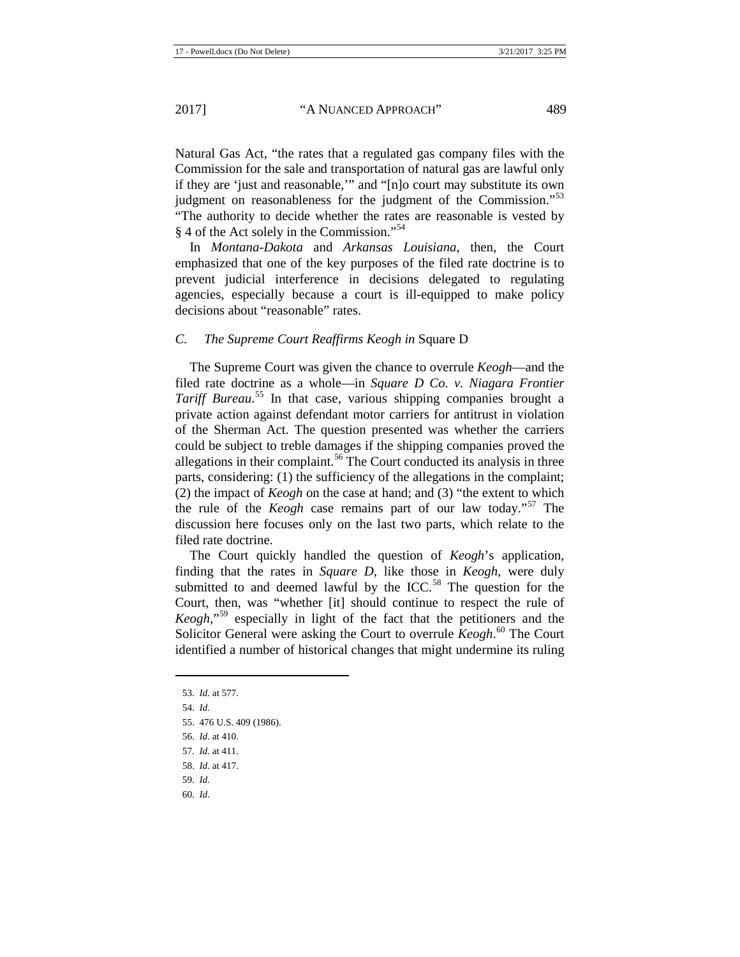Natural Gas Act, "the rates that a regulated gas company files with the Commission for the sale and transportation of natural gas are lawful only if they are 'just and reasonable,'" and "[n]o court may substitute its own judgment on reasonableness for the judgment of the Commission."<sup>[53](#page-9-0)</sup> "The authority to decide whether the rates are reasonable is vested by § 4 of the Act solely in the Commission."<sup>[54](#page-9-1)</sup>

In *Montana-Dakota* and *Arkansas Louisiana*, then, the Court emphasized that one of the key purposes of the filed rate doctrine is to prevent judicial interference in decisions delegated to regulating agencies, especially because a court is ill-equipped to make policy decisions about "reasonable" rates.

#### *C. The Supreme Court Reaffirms Keogh in* Square D

The Supreme Court was given the chance to overrule *Keogh*—and the filed rate doctrine as a whole—in *Square D Co. v. Niagara Frontier Tariff Bureau*. [55](#page-9-2) In that case, various shipping companies brought a private action against defendant motor carriers for antitrust in violation of the Sherman Act. The question presented was whether the carriers could be subject to treble damages if the shipping companies proved the allegations in their complaint.<sup>[56](#page-9-3)</sup> The Court conducted its analysis in three parts, considering: (1) the sufficiency of the allegations in the complaint; (2) the impact of *Keogh* on the case at hand; and (3) "the extent to which the rule of the *Keogh* case remains part of our law today."[57](#page-9-4) The discussion here focuses only on the last two parts, which relate to the filed rate doctrine.

The Court quickly handled the question of *Keogh*'s application, finding that the rates in *Square D*, like those in *Keogh*, were duly submitted to and deemed lawful by the ICC.<sup>[58](#page-9-5)</sup> The question for the Court, then, was "whether [it] should continue to respect the rule of *Keogh*,"[59](#page-9-6) especially in light of the fact that the petitioners and the Solicitor General were asking the Court to overrule *Keogh*. [60](#page-9-7) The Court identified a number of historical changes that might undermine its ruling

- 59. *Id.*
- <span id="page-9-7"></span>60. *Id.*

<span id="page-9-0"></span><sup>53.</sup> *Id.* at 577.

<span id="page-9-1"></span><sup>54.</sup> *Id.*

<span id="page-9-2"></span><sup>55.</sup> 476 U.S. 409 (1986).

<span id="page-9-3"></span><sup>56.</sup> *Id.* at 410.

<sup>57.</sup> *Id.* at 411.

<span id="page-9-6"></span><span id="page-9-5"></span><span id="page-9-4"></span><sup>58.</sup> *Id.* at 417.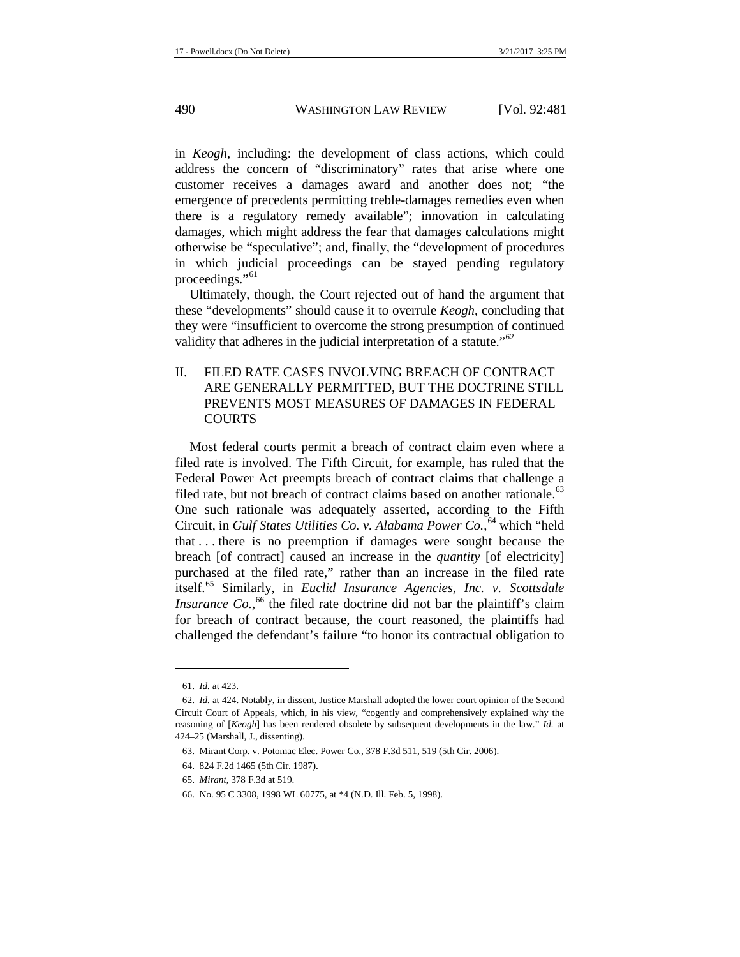in *Keogh*, including: the development of class actions, which could address the concern of "discriminatory" rates that arise where one customer receives a damages award and another does not; "the emergence of precedents permitting treble-damages remedies even when there is a regulatory remedy available"; innovation in calculating damages, which might address the fear that damages calculations might otherwise be "speculative"; and, finally, the "development of procedures in which judicial proceedings can be stayed pending regulatory proceedings."<sup>[61](#page-10-0)</sup>

Ultimately, though, the Court rejected out of hand the argument that these "developments" should cause it to overrule *Keogh*, concluding that they were "insufficient to overcome the strong presumption of continued validity that adheres in the judicial interpretation of a statute."<sup>[62](#page-10-1)</sup>

# II. FILED RATE CASES INVOLVING BREACH OF CONTRACT ARE GENERALLY PERMITTED, BUT THE DOCTRINE STILL PREVENTS MOST MEASURES OF DAMAGES IN FEDERAL **COURTS**

Most federal courts permit a breach of contract claim even where a filed rate is involved. The Fifth Circuit, for example, has ruled that the Federal Power Act preempts breach of contract claims that challenge a filed rate, but not breach of contract claims based on another rationale.<sup>[63](#page-10-2)</sup> One such rationale was adequately asserted, according to the Fifth Circuit, in *Gulf States Utilities Co. v. Alabama Power Co.*, [64](#page-10-3) which "held that . . . there is no preemption if damages were sought because the breach [of contract] caused an increase in the *quantity* [of electricity] purchased at the filed rate," rather than an increase in the filed rate itself.[65](#page-10-4) Similarly, in *Euclid Insurance Agencies, Inc. v. Scottsdale Insurance Co.*,<sup>[66](#page-10-5)</sup> the filed rate doctrine did not bar the plaintiff's claim for breach of contract because, the court reasoned, the plaintiffs had challenged the defendant's failure "to honor its contractual obligation to

<sup>61.</sup> *Id.* at 423.

<span id="page-10-1"></span><span id="page-10-0"></span><sup>62.</sup> *Id.* at 424. Notably, in dissent, Justice Marshall adopted the lower court opinion of the Second Circuit Court of Appeals, which, in his view, "cogently and comprehensively explained why the reasoning of [*Keogh*] has been rendered obsolete by subsequent developments in the law." *Id.* at 424–25 (Marshall, J., dissenting).

<span id="page-10-3"></span><span id="page-10-2"></span><sup>63.</sup> Mirant Corp. v. Potomac Elec. Power Co., 378 F.3d 511, 519 (5th Cir. 2006).

<sup>64.</sup> 824 F.2d 1465 (5th Cir. 1987).

<span id="page-10-4"></span><sup>65.</sup> *Mirant*, 378 F.3d at 519.

<span id="page-10-5"></span><sup>66.</sup> No. 95 C 3308, 1998 WL 60775, at \*4 (N.D. Ill. Feb. 5, 1998).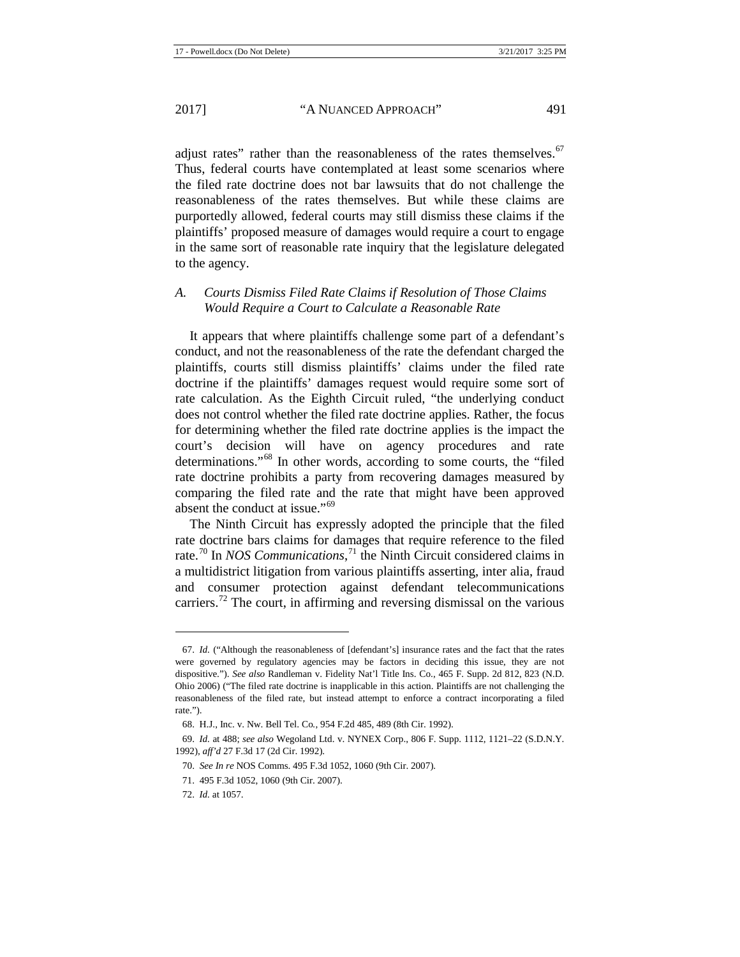adjust rates" rather than the reasonableness of the rates themselves.<sup>[67](#page-11-0)</sup> Thus, federal courts have contemplated at least some scenarios where the filed rate doctrine does not bar lawsuits that do not challenge the reasonableness of the rates themselves. But while these claims are purportedly allowed, federal courts may still dismiss these claims if the plaintiffs' proposed measure of damages would require a court to engage in the same sort of reasonable rate inquiry that the legislature delegated to the agency.

# *A. Courts Dismiss Filed Rate Claims if Resolution of Those Claims Would Require a Court to Calculate a Reasonable Rate*

It appears that where plaintiffs challenge some part of a defendant's conduct, and not the reasonableness of the rate the defendant charged the plaintiffs, courts still dismiss plaintiffs' claims under the filed rate doctrine if the plaintiffs' damages request would require some sort of rate calculation. As the Eighth Circuit ruled, "the underlying conduct does not control whether the filed rate doctrine applies. Rather, the focus for determining whether the filed rate doctrine applies is the impact the court's decision will have on agency procedures and rate determinations."[68](#page-11-1) In other words, according to some courts, the "filed rate doctrine prohibits a party from recovering damages measured by comparing the filed rate and the rate that might have been approved absent the conduct at issue."[69](#page-11-2)

The Ninth Circuit has expressly adopted the principle that the filed rate doctrine bars claims for damages that require reference to the filed rate.<sup>[70](#page-11-3)</sup> In *NOS Communications*,<sup>[71](#page-11-4)</sup> the Ninth Circuit considered claims in a multidistrict litigation from various plaintiffs asserting, inter alia, fraud and consumer protection against defendant telecommunications carriers.<sup>[72](#page-11-5)</sup> The court, in affirming and reversing dismissal on the various

<span id="page-11-0"></span><sup>67.</sup> *Id.* ("Although the reasonableness of [defendant's] insurance rates and the fact that the rates were governed by regulatory agencies may be factors in deciding this issue, they are not dispositive."). *See also* Randleman v. Fidelity Nat'l Title Ins. Co., 465 F. Supp. 2d 812, 823 (N.D. Ohio 2006) ("The filed rate doctrine is inapplicable in this action. Plaintiffs are not challenging the reasonableness of the filed rate, but instead attempt to enforce a contract incorporating a filed rate.").

<sup>68.</sup> H.J., Inc. v. Nw. Bell Tel. Co*.*, 954 F.2d 485, 489 (8th Cir. 1992).

<span id="page-11-3"></span><span id="page-11-2"></span><span id="page-11-1"></span><sup>69.</sup> *Id.* at 488; *see also* Wegoland Ltd. v. NYNEX Corp., 806 F. Supp. 1112, 1121–22 (S.D.N.Y. 1992), *aff'd* 27 F.3d 17 (2d Cir. 1992).

<sup>70.</sup> *See In re* NOS Comms. 495 F.3d 1052, 1060 (9th Cir. 2007).

<sup>71.</sup> 495 F.3d 1052, 1060 (9th Cir. 2007).

<span id="page-11-5"></span><span id="page-11-4"></span><sup>72.</sup> *Id.* at 1057.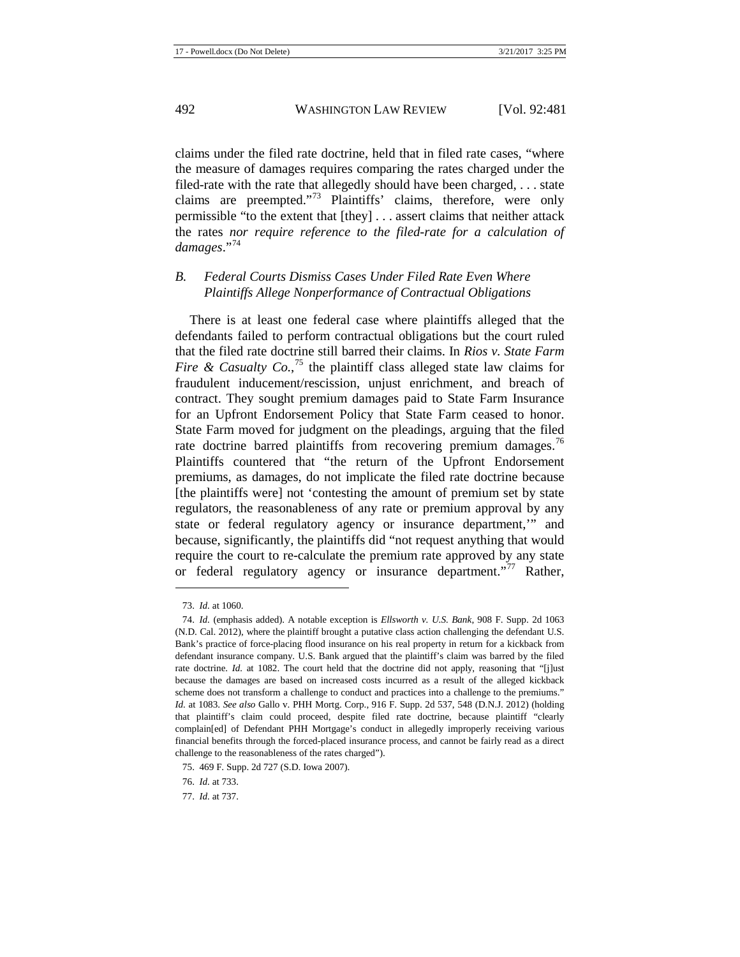claims under the filed rate doctrine, held that in filed rate cases, "where the measure of damages requires comparing the rates charged under the filed-rate with the rate that allegedly should have been charged, . . . state claims are preempted."[73](#page-12-0) Plaintiffs' claims, therefore, were only permissible "to the extent that [they] . . . assert claims that neither attack the rates *nor require reference to the filed-rate for a calculation of damages*."[74](#page-12-1)

# *B. Federal Courts Dismiss Cases Under Filed Rate Even Where Plaintiffs Allege Nonperformance of Contractual Obligations*

There is at least one federal case where plaintiffs alleged that the defendants failed to perform contractual obligations but the court ruled that the filed rate doctrine still barred their claims. In *Rios v. State Farm Fire & Casualty Co.*,<sup>[75](#page-12-2)</sup> the plaintiff class alleged state law claims for fraudulent inducement/rescission, unjust enrichment, and breach of contract. They sought premium damages paid to State Farm Insurance for an Upfront Endorsement Policy that State Farm ceased to honor. State Farm moved for judgment on the pleadings, arguing that the filed rate doctrine barred plaintiffs from recovering premium damages.<sup>[76](#page-12-3)</sup> Plaintiffs countered that "the return of the Upfront Endorsement premiums, as damages, do not implicate the filed rate doctrine because [the plaintiffs were] not 'contesting the amount of premium set by state regulators, the reasonableness of any rate or premium approval by any state or federal regulatory agency or insurance department,'" and because, significantly, the plaintiffs did "not request anything that would require the court to re-calculate the premium rate approved by any state or federal regulatory agency or insurance department."<sup>[77](#page-12-4)</sup> Rather,

<sup>73.</sup> *Id.* at 1060.

<span id="page-12-1"></span><span id="page-12-0"></span><sup>74.</sup> *Id.* (emphasis added). A notable exception is *Ellsworth v. U.S. Bank*, 908 F. Supp. 2d 1063 (N.D. Cal. 2012), where the plaintiff brought a putative class action challenging the defendant U.S. Bank's practice of force-placing flood insurance on his real property in return for a kickback from defendant insurance company. U.S. Bank argued that the plaintiff's claim was barred by the filed rate doctrine. *Id.* at 1082. The court held that the doctrine did not apply, reasoning that "[j]ust because the damages are based on increased costs incurred as a result of the alleged kickback scheme does not transform a challenge to conduct and practices into a challenge to the premiums." *Id.* at 1083. *See also* Gallo v. PHH Mortg. Corp., 916 F. Supp. 2d 537, 548 (D.N.J. 2012) (holding that plaintiff's claim could proceed, despite filed rate doctrine, because plaintiff "clearly complain[ed] of Defendant PHH Mortgage's conduct in allegedly improperly receiving various financial benefits through the forced-placed insurance process, and cannot be fairly read as a direct challenge to the reasonableness of the rates charged").

<span id="page-12-2"></span><sup>75.</sup> 469 F. Supp. 2d 727 (S.D. Iowa 2007).

<sup>76.</sup> *Id.* at 733.

<span id="page-12-4"></span><span id="page-12-3"></span><sup>77.</sup> *Id.* at 737.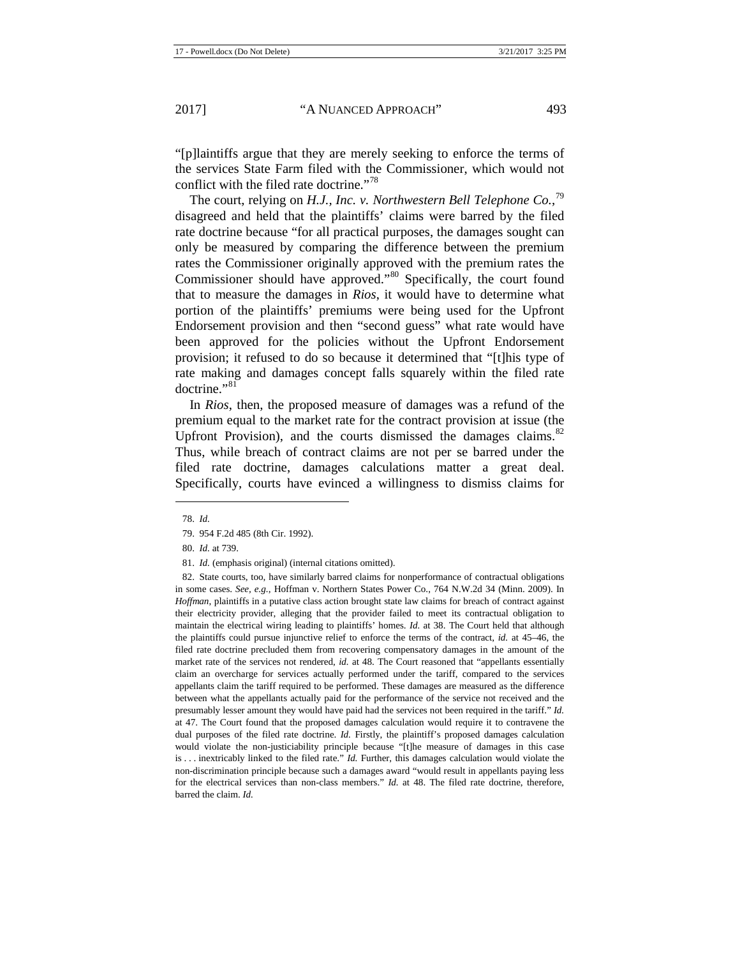"[p]laintiffs argue that they are merely seeking to enforce the terms of the services State Farm filed with the Commissioner, which would not conflict with the filed rate doctrine."<sup>[78](#page-13-0)</sup>

The court, relying on *H.J., Inc. v. Northwestern Bell Telephone Co.*, [79](#page-13-1) disagreed and held that the plaintiffs' claims were barred by the filed rate doctrine because "for all practical purposes, the damages sought can only be measured by comparing the difference between the premium rates the Commissioner originally approved with the premium rates the Commissioner should have approved."<sup>[80](#page-13-2)</sup> Specifically, the court found that to measure the damages in *Rios*, it would have to determine what portion of the plaintiffs' premiums were being used for the Upfront Endorsement provision and then "second guess" what rate would have been approved for the policies without the Upfront Endorsement provision; it refused to do so because it determined that "[t]his type of rate making and damages concept falls squarely within the filed rate doctrine."<sup>[81](#page-13-3)</sup>

In *Rios*, then, the proposed measure of damages was a refund of the premium equal to the market rate for the contract provision at issue (the Upfront Provision), and the courts dismissed the damages claims. $82$ Thus, while breach of contract claims are not per se barred under the filed rate doctrine, damages calculations matter a great deal. Specifically, courts have evinced a willingness to dismiss claims for

<span id="page-13-1"></span><span id="page-13-0"></span>**.** 

<span id="page-13-4"></span><span id="page-13-3"></span><span id="page-13-2"></span>82. State courts, too, have similarly barred claims for nonperformance of contractual obligations in some cases. *See, e.g.*, Hoffman v. Northern States Power Co., 764 N.W.2d 34 (Minn. 2009). In *Hoffman*, plaintiffs in a putative class action brought state law claims for breach of contract against their electricity provider, alleging that the provider failed to meet its contractual obligation to maintain the electrical wiring leading to plaintiffs' homes. *Id.* at 38. The Court held that although the plaintiffs could pursue injunctive relief to enforce the terms of the contract, *id.* at 45–46, the filed rate doctrine precluded them from recovering compensatory damages in the amount of the market rate of the services not rendered, *id.* at 48. The Court reasoned that "appellants essentially claim an overcharge for services actually performed under the tariff, compared to the services appellants claim the tariff required to be performed. These damages are measured as the difference between what the appellants actually paid for the performance of the service not received and the presumably lesser amount they would have paid had the services not been required in the tariff." *Id.*  at 47. The Court found that the proposed damages calculation would require it to contravene the dual purposes of the filed rate doctrine. *Id.* Firstly, the plaintiff's proposed damages calculation would violate the non-justiciability principle because "[t]he measure of damages in this case is . . . inextricably linked to the filed rate." *Id.* Further, this damages calculation would violate the non-discrimination principle because such a damages award "would result in appellants paying less for the electrical services than non-class members." *Id.* at 48. The filed rate doctrine, therefore, barred the claim. *Id.*

<sup>78.</sup> *Id.*

<sup>79.</sup> 954 F.2d 485 (8th Cir. 1992).

<sup>80.</sup> *Id.* at 739.

<sup>81.</sup> *Id.* (emphasis original) (internal citations omitted).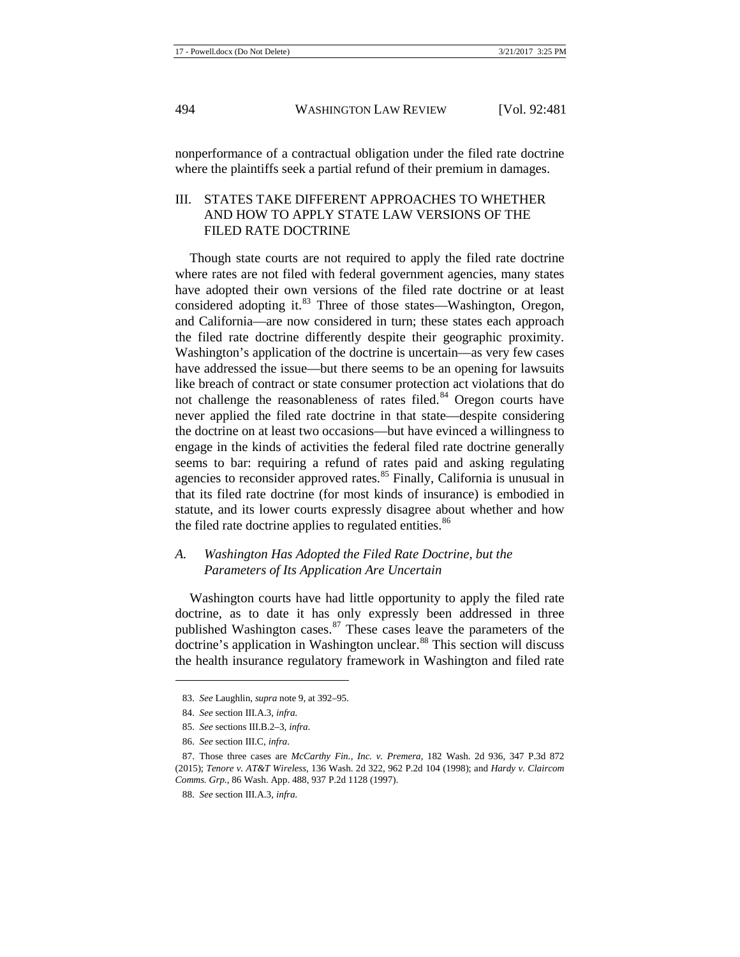nonperformance of a contractual obligation under the filed rate doctrine where the plaintiffs seek a partial refund of their premium in damages.

# III. STATES TAKE DIFFERENT APPROACHES TO WHETHER AND HOW TO APPLY STATE LAW VERSIONS OF THE FILED RATE DOCTRINE

Though state courts are not required to apply the filed rate doctrine where rates are not filed with federal government agencies, many states have adopted their own versions of the filed rate doctrine or at least considered adopting it.<sup>[83](#page-14-0)</sup> Three of those states—Washington, Oregon, and California—are now considered in turn; these states each approach the filed rate doctrine differently despite their geographic proximity. Washington's application of the doctrine is uncertain—as very few cases have addressed the issue—but there seems to be an opening for lawsuits like breach of contract or state consumer protection act violations that do not challenge the reasonableness of rates filed.<sup>[84](#page-14-1)</sup> Oregon courts have never applied the filed rate doctrine in that state—despite considering the doctrine on at least two occasions—but have evinced a willingness to engage in the kinds of activities the federal filed rate doctrine generally seems to bar: requiring a refund of rates paid and asking regulating agencies to reconsider approved rates. $85$  Finally, California is unusual in that its filed rate doctrine (for most kinds of insurance) is embodied in statute, and its lower courts expressly disagree about whether and how the filed rate doctrine applies to regulated entities.<sup>[86](#page-14-3)</sup>

# *A. Washington Has Adopted the Filed Rate Doctrine, but the Parameters of Its Application Are Uncertain*

Washington courts have had little opportunity to apply the filed rate doctrine, as to date it has only expressly been addressed in three published Washington cases. $87$  These cases leave the parameters of the doctrine's application in Washington unclear.<sup>[88](#page-14-5)</sup> This section will discuss the health insurance regulatory framework in Washington and filed rate

<span id="page-14-0"></span><sup>83.</sup> *See* Laughlin, *supra* not[e 9,](#page-2-9) at 392–95.

<sup>84.</sup> *See* section III.A.3, *infra*.

<sup>85.</sup> *See* sections III.B.2–3, *infra*.

<sup>86.</sup> *See* section III.C, *infra*.

<span id="page-14-5"></span><span id="page-14-4"></span><span id="page-14-3"></span><span id="page-14-2"></span><span id="page-14-1"></span><sup>87.</sup> Those three cases are *McCarthy Fin., Inc. v. Premera*, 182 Wash. 2d 936, 347 P.3d 872 (2015); *Tenore v. AT&T Wireless*, 136 Wash. 2d 322, 962 P.2d 104 (1998); and *Hardy v. Claircom Comms. Grp.*, 86 Wash. App. 488, 937 P.2d 1128 (1997).

<sup>88.</sup> *See* section III.A.3, *infra*.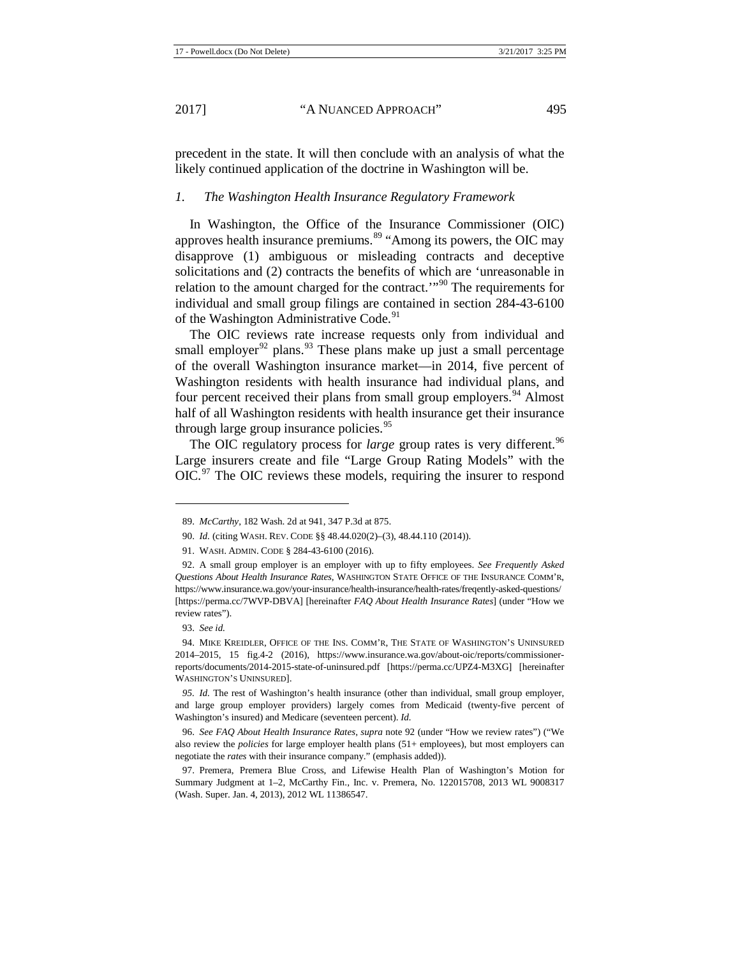precedent in the state. It will then conclude with an analysis of what the likely continued application of the doctrine in Washington will be.

#### *1. The Washington Health Insurance Regulatory Framework*

In Washington, the Office of the Insurance Commissioner (OIC) approves health insurance premiums.<sup>[89](#page-15-1)</sup> "Among its powers, the OIC may disapprove (1) ambiguous or misleading contracts and deceptive solicitations and (2) contracts the benefits of which are 'unreasonable in relation to the amount charged for the contract.'"<sup>[90](#page-15-2)</sup> The requirements for individual and small group filings are contained in section 284-43-6100 of the Washington Administrative Code.<sup>[91](#page-15-3)</sup>

<span id="page-15-0"></span>The OIC reviews rate increase requests only from individual and small employer<sup>[92](#page-15-4)</sup> plans.<sup>[93](#page-15-5)</sup> These plans make up just a small percentage of the overall Washington insurance market—in 2014, five percent of Washington residents with health insurance had individual plans, and four percent received their plans from small group employers.<sup>[94](#page-15-6)</sup> Almost half of all Washington residents with health insurance get their insurance through large group insurance policies.  $\frac{95}{2}$  $\frac{95}{2}$  $\frac{95}{2}$ 

The OIC regulatory process for *large* group rates is very different.<sup>[96](#page-15-8)</sup> Large insurers create and file "Large Group Rating Models" with the OIC.<sup>[97](#page-15-9)</sup> The OIC reviews these models, requiring the insurer to respond

<span id="page-15-1"></span>**.** 

<span id="page-15-7"></span>*95. Id.* The rest of Washington's health insurance (other than individual, small group employer, and large group employer providers) largely comes from Medicaid (twenty-five percent of Washington's insured) and Medicare (seventeen percent). *Id.* 

<span id="page-15-8"></span>96. *See FAQ About Health Insurance Rates*, *supra* note [92](#page-15-0) (under "How we review rates") ("We also review the *policies* for large employer health plans (51+ employees), but most employers can negotiate the *rates* with their insurance company." (emphasis added)).

<sup>89.</sup> *McCarthy*, 182 Wash. 2d at 941, 347 P.3d at 875.

<sup>90.</sup> *Id.* (citing WASH. REV. CODE §§ 48.44.020(2)–(3), 48.44.110 (2014)).

<sup>91.</sup> WASH. ADMIN. CODE § 284-43-6100 (2016).

<span id="page-15-4"></span><span id="page-15-3"></span><span id="page-15-2"></span><sup>92.</sup> A small group employer is an employer with up to fifty employees. *See Frequently Asked Questions About Health Insurance Rates*, WASHINGTON STATE OFFICE OF THE INSURANCE COMM'R, https://www.insurance.wa.gov/your-insurance/health-insurance/health-rates/freqently-asked-questions/ [https://perma.cc/7WVP-DBVA] [hereinafter *FAQ About Health Insurance Rates*] (under "How we review rates").

<sup>93.</sup> *See id.* 

<span id="page-15-6"></span><span id="page-15-5"></span><sup>94.</sup> MIKE KREIDLER, OFFICE OF THE INS. COMM'R, THE STATE OF WASHINGTON'S UNINSURED 2014–2015, 15 fig.4-2 (2016), https://www.insurance.wa.gov/about-oic/reports/commissionerreports/documents/2014-2015-state-of-uninsured.pdf [https://perma.cc/UPZ4-M3XG] [hereinafter WASHINGTON'S UNINSURED].

<span id="page-15-9"></span><sup>97.</sup> Premera, Premera Blue Cross, and Lifewise Health Plan of Washington's Motion for Summary Judgment at 1–2, McCarthy Fin., Inc. v. Premera, No. 122015708, 2013 WL 9008317 (Wash. Super. Jan. 4, 2013), 2012 WL 11386547.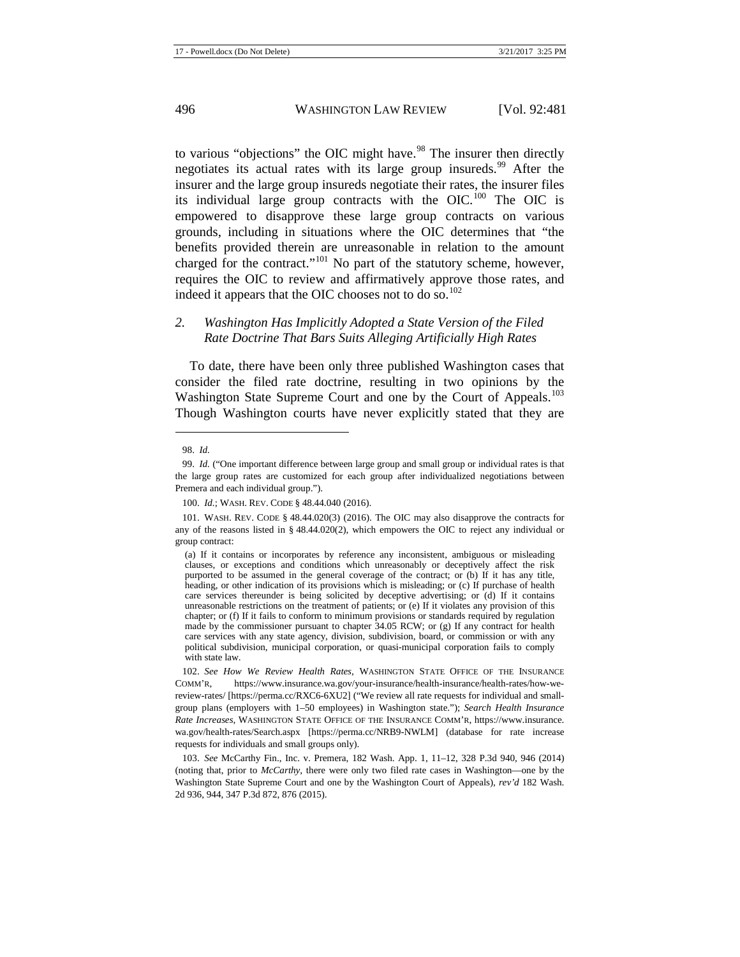to various "objections" the OIC might have.<sup>[98](#page-16-0)</sup> The insurer then directly negotiates its actual rates with its large group insureds.<sup>[99](#page-16-1)</sup> After the insurer and the large group insureds negotiate their rates, the insurer files its individual large group contracts with the OIC.<sup>[100](#page-16-2)</sup> The OIC is empowered to disapprove these large group contracts on various grounds, including in situations where the OIC determines that "the benefits provided therein are unreasonable in relation to the amount charged for the contract."<sup>[101](#page-16-3)</sup> No part of the statutory scheme, however, requires the OIC to review and affirmatively approve those rates, and indeed it appears that the OIC chooses not to do so. $102$ 

# *2. Washington Has Implicitly Adopted a State Version of the Filed Rate Doctrine That Bars Suits Alleging Artificially High Rates*

To date, there have been only three published Washington cases that consider the filed rate doctrine, resulting in two opinions by the Washington State Supreme Court and one by the Court of Appeals.<sup>[103](#page-16-5)</sup> Though Washington courts have never explicitly stated that they are

1

<sup>98.</sup> *Id.*

<span id="page-16-1"></span><span id="page-16-0"></span><sup>99.</sup> *Id.* ("One important difference between large group and small group or individual rates is that the large group rates are customized for each group after individualized negotiations between Premera and each individual group.").

<sup>100.</sup> *Id.*; WASH. REV. CODE § 48.44.040 (2016).

<span id="page-16-3"></span><span id="page-16-2"></span><sup>101.</sup> WASH. REV. CODE § 48.44.020(3) (2016). The OIC may also disapprove the contracts for any of the reasons listed in § 48.44.020(2), which empowers the OIC to reject any individual or group contract:

<sup>(</sup>a) If it contains or incorporates by reference any inconsistent, ambiguous or misleading clauses, or exceptions and conditions which unreasonably or deceptively affect the risk purported to be assumed in the general coverage of the contract; or (b) If it has any title, heading, or other indication of its provisions which is misleading; or (c) If purchase of health care services thereunder is being solicited by deceptive advertising; or (d) If it contains unreasonable restrictions on the treatment of patients; or (e) If it violates any provision of this chapter; or (f) If it fails to conform to minimum provisions or standards required by regulation made by the commissioner pursuant to chapter 34.05 RCW; or (g) If any contract for health care services with any state agency, division, subdivision, board, or commission or with any political subdivision, municipal corporation, or quasi-municipal corporation fails to comply with state law.

<span id="page-16-4"></span><sup>102.</sup> *See How We Review Health Rates*, WASHINGTON STATE OFFICE OF THE INSURANCE COMM'R, https://www.insurance.wa.gov/your-insurance/health-insurance/health-rates/how-wereview-rates/ [https://perma.cc/RXC6-6XU2] ("We review all rate requests for individual and smallgroup plans (employers with 1–50 employees) in Washington state."); *Search Health Insurance Rate Increases*, WASHINGTON STATE OFFICE OF THE INSURANCE COMM'R, https://www.insurance. wa.gov/health-rates/Search.aspx [https://perma.cc/NRB9-NWLM] (database for rate increase requests for individuals and small groups only).

<span id="page-16-5"></span><sup>103.</sup> *See* McCarthy Fin., Inc. v. Premera, 182 Wash. App. 1, 11–12, 328 P.3d 940, 946 (2014) (noting that, prior to *McCarthy*, there were only two filed rate cases in Washington—one by the Washington State Supreme Court and one by the Washington Court of Appeals), *rev'd* 182 Wash. 2d 936, 944, 347 P.3d 872, 876 (2015).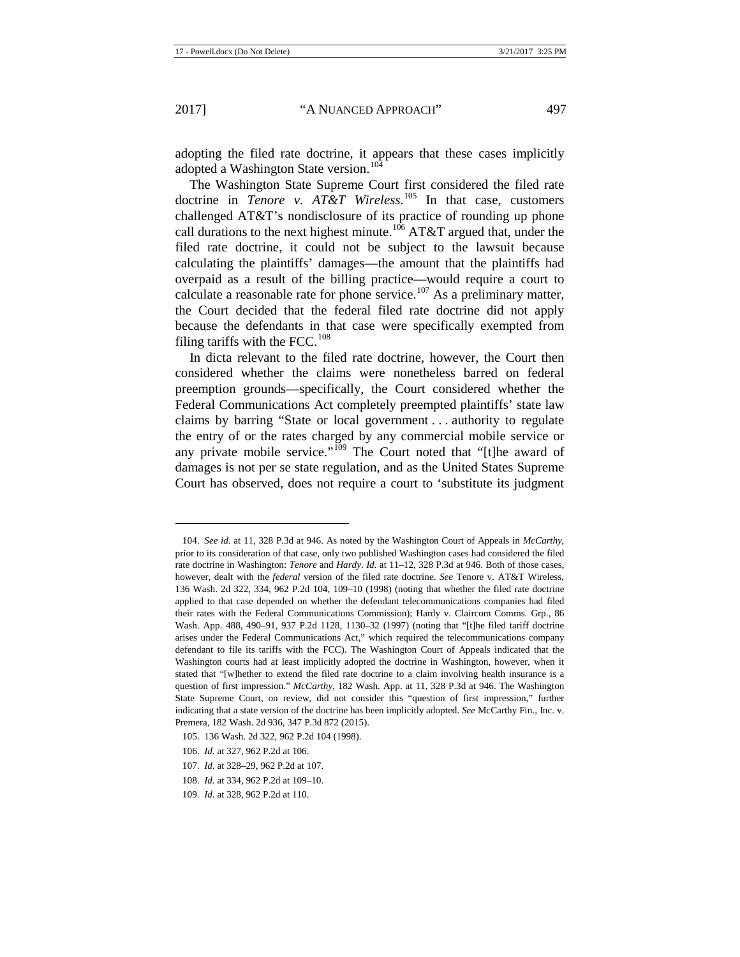**.** 

<span id="page-17-6"></span>adopting the filed rate doctrine, it appears that these cases implicitly adopted a Washington State version.<sup>[104](#page-17-0)</sup>

The Washington State Supreme Court first considered the filed rate doctrine in *Tenore v. AT&T Wireless*. [105](#page-17-1) In that case, customers challenged AT&T's nondisclosure of its practice of rounding up phone call durations to the next highest minute.<sup>[106](#page-17-2)</sup> AT&T argued that, under the filed rate doctrine, it could not be subject to the lawsuit because calculating the plaintiffs' damages—the amount that the plaintiffs had overpaid as a result of the billing practice—would require a court to calculate a reasonable rate for phone service.<sup>[107](#page-17-3)</sup> As a preliminary matter, the Court decided that the federal filed rate doctrine did not apply because the defendants in that case were specifically exempted from filing tariffs with the FCC. $^{108}$  $^{108}$  $^{108}$ 

In dicta relevant to the filed rate doctrine, however, the Court then considered whether the claims were nonetheless barred on federal preemption grounds—specifically, the Court considered whether the Federal Communications Act completely preempted plaintiffs' state law claims by barring "State or local government . . . authority to regulate the entry of or the rates charged by any commercial mobile service or any private mobile service."<sup>[109](#page-17-5)</sup> The Court noted that "[t]he award of damages is not per se state regulation, and as the United States Supreme Court has observed, does not require a court to 'substitute its judgment

<span id="page-17-0"></span><sup>104.</sup> *See id.* at 11, 328 P.3d at 946. As noted by the Washington Court of Appeals in *McCarthy*, prior to its consideration of that case, only two published Washington cases had considered the filed rate doctrine in Washington: *Tenore* and *Hardy*. *Id.* at 11–12, 328 P.3d at 946. Both of those cases, however, dealt with the *federal* version of the filed rate doctrine. *See* Tenore v. AT&T Wireless, 136 Wash. 2d 322, 334, 962 P.2d 104, 109–10 (1998) (noting that whether the filed rate doctrine applied to that case depended on whether the defendant telecommunications companies had filed their rates with the Federal Communications Commission); Hardy v. Claircom Comms. Grp., 86 Wash. App. 488, 490–91, 937 P.2d 1128, 1130–32 (1997) (noting that "[t]he filed tariff doctrine arises under the Federal Communications Act," which required the telecommunications company defendant to file its tariffs with the FCC). The Washington Court of Appeals indicated that the Washington courts had at least implicitly adopted the doctrine in Washington, however, when it stated that "[w]hether to extend the filed rate doctrine to a claim involving health insurance is a question of first impression." *McCarthy*, 182 Wash. App. at 11, 328 P.3d at 946. The Washington State Supreme Court, on review, did not consider this "question of first impression," further indicating that a state version of the doctrine has been implicitly adopted. *See* McCarthy Fin., Inc. v. Premera, 182 Wash. 2d 936, 347 P.3d 872 (2015).

<span id="page-17-2"></span><span id="page-17-1"></span><sup>105.</sup> 136 Wash. 2d 322, 962 P.2d 104 (1998).

<sup>106.</sup> *Id.* at 327, 962 P.2d at 106.

<span id="page-17-3"></span><sup>107.</sup> *Id.* at 328–29, 962 P.2d at 107.

<span id="page-17-4"></span><sup>108.</sup> *Id.* at 334, 962 P.2d at 109–10.

<span id="page-17-5"></span><sup>109.</sup> *Id.* at 328, 962 P.2d at 110.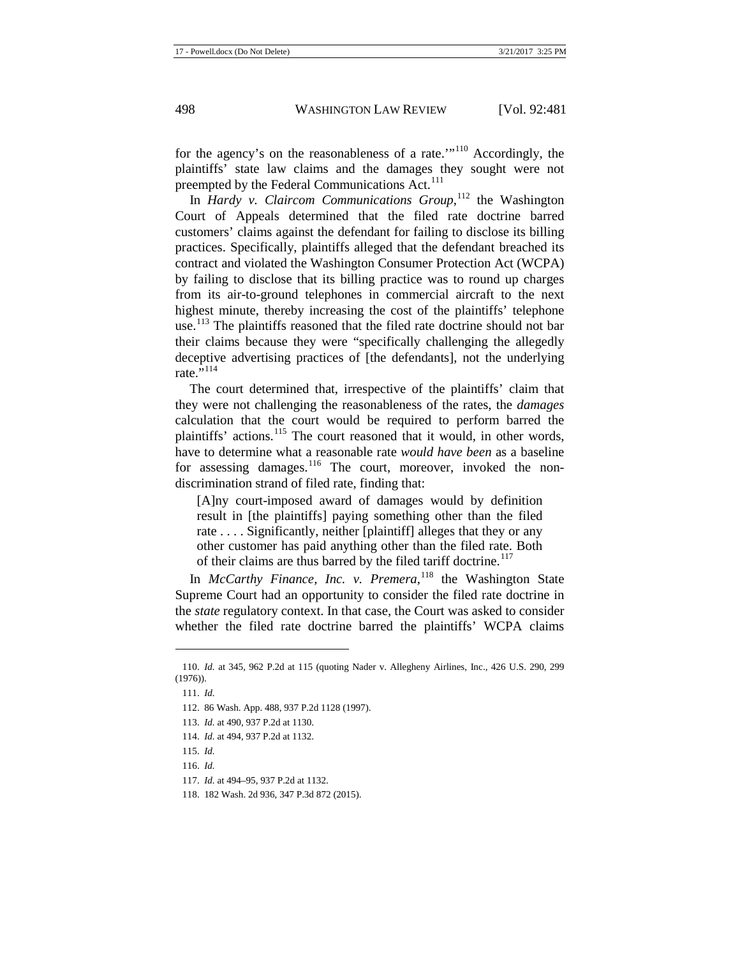for the agency's on the reasonableness of a rate.'"[110](#page-18-0) Accordingly, the plaintiffs' state law claims and the damages they sought were not preempted by the Federal Communications Act.<sup>[111](#page-18-1)</sup>

In *Hardy v. Claircom Communications Group*,<sup>[112](#page-18-2)</sup> the Washington Court of Appeals determined that the filed rate doctrine barred customers' claims against the defendant for failing to disclose its billing practices. Specifically, plaintiffs alleged that the defendant breached its contract and violated the Washington Consumer Protection Act (WCPA) by failing to disclose that its billing practice was to round up charges from its air-to-ground telephones in commercial aircraft to the next highest minute, thereby increasing the cost of the plaintiffs' telephone use.<sup>[113](#page-18-3)</sup> The plaintiffs reasoned that the filed rate doctrine should not bar their claims because they were "specifically challenging the allegedly deceptive advertising practices of [the defendants], not the underlying rate." $^{114}$  $^{114}$  $^{114}$ 

The court determined that, irrespective of the plaintiffs' claim that they were not challenging the reasonableness of the rates, the *damages*  calculation that the court would be required to perform barred the plaintiffs' actions.<sup>[115](#page-18-5)</sup> The court reasoned that it would, in other words, have to determine what a reasonable rate *would have been* as a baseline for assessing damages.<sup>[116](#page-18-6)</sup> The court, moreover, invoked the nondiscrimination strand of filed rate, finding that:

[A]ny court-imposed award of damages would by definition result in [the plaintiffs] paying something other than the filed rate . . . . Significantly, neither [plaintiff] alleges that they or any other customer has paid anything other than the filed rate. Both of their claims are thus barred by the filed tariff doctrine.<sup>[117](#page-18-7)</sup>

In *McCarthy Finance, Inc. v. Premera*, [118](#page-18-8) the Washington State Supreme Court had an opportunity to consider the filed rate doctrine in the *state* regulatory context. In that case, the Court was asked to consider whether the filed rate doctrine barred the plaintiffs' WCPA claims

<span id="page-18-2"></span><span id="page-18-1"></span><span id="page-18-0"></span><sup>110.</sup> *Id.* at 345, 962 P.2d at 115 (quoting Nader v. Allegheny Airlines, Inc., 426 U.S. 290, 299 (1976)).

<sup>111.</sup> *Id.*

<sup>112.</sup> 86 Wash. App. 488, 937 P.2d 1128 (1997).

<span id="page-18-4"></span><span id="page-18-3"></span><sup>113.</sup> *Id.* at 490, 937 P.2d at 1130.

<sup>114.</sup> *Id.* at 494, 937 P.2d at 1132.

<span id="page-18-5"></span><sup>115.</sup> *Id.*

<span id="page-18-7"></span><span id="page-18-6"></span><sup>116.</sup> *Id.*

<sup>117.</sup> *Id.* at 494–95, 937 P.2d at 1132.

<span id="page-18-8"></span><sup>118.</sup> 182 Wash. 2d 936, 347 P.3d 872 (2015).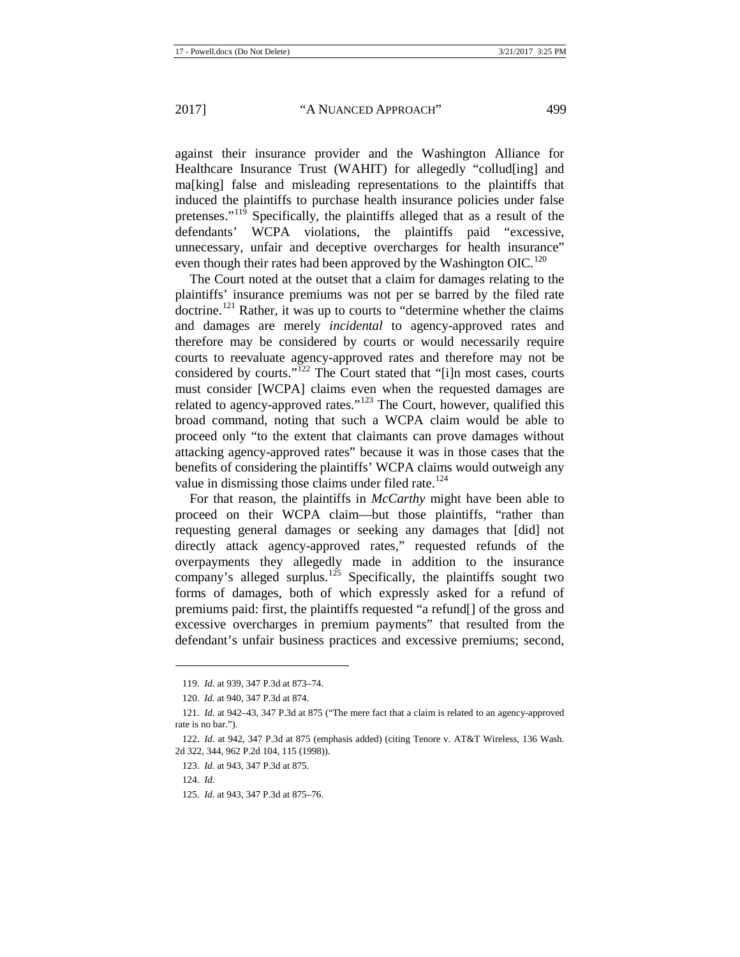against their insurance provider and the Washington Alliance for Healthcare Insurance Trust (WAHIT) for allegedly "collud[ing] and ma[king] false and misleading representations to the plaintiffs that induced the plaintiffs to purchase health insurance policies under false pretenses."<sup>[119](#page-19-0)</sup> Specifically, the plaintiffs alleged that as a result of the defendants' WCPA violations, the plaintiffs paid "excessive, unnecessary, unfair and deceptive overcharges for health insurance" even though their rates had been approved by the Washington OIC.<sup>[120](#page-19-1)</sup>

The Court noted at the outset that a claim for damages relating to the plaintiffs' insurance premiums was not per se barred by the filed rate doctrine.<sup>[121](#page-19-2)</sup> Rather, it was up to courts to "determine whether the claims" and damages are merely *incidental* to agency-approved rates and therefore may be considered by courts or would necessarily require courts to reevaluate agency-approved rates and therefore may not be considered by courts."[122](#page-19-3) The Court stated that "[i]n most cases, courts must consider [WCPA] claims even when the requested damages are related to agency-approved rates."<sup>[123](#page-19-4)</sup> The Court, however, qualified this broad command, noting that such a WCPA claim would be able to proceed only "to the extent that claimants can prove damages without attacking agency-approved rates" because it was in those cases that the benefits of considering the plaintiffs' WCPA claims would outweigh any value in dismissing those claims under filed rate.<sup>[124](#page-19-5)</sup>

For that reason, the plaintiffs in *McCarthy* might have been able to proceed on their WCPA claim—but those plaintiffs, "rather than requesting general damages or seeking any damages that [did] not directly attack agency-approved rates," requested refunds of the overpayments they allegedly made in addition to the insurance company's alleged surplus.<sup>[125](#page-19-6)</sup> Specifically, the plaintiffs sought two forms of damages, both of which expressly asked for a refund of premiums paid: first, the plaintiffs requested "a refund[] of the gross and excessive overcharges in premium payments" that resulted from the defendant's unfair business practices and excessive premiums; second,

 $\overline{a}$ 

<span id="page-19-6"></span>125. *Id.* at 943, 347 P.3d at 875–76.

<sup>119.</sup> *Id.* at 939, 347 P.3d at 873–74.

<sup>120.</sup> *Id.* at 940, 347 P.3d at 874.

<span id="page-19-2"></span><span id="page-19-1"></span><span id="page-19-0"></span><sup>121.</sup> *Id.* at 942–43, 347 P.3d at 875 ("The mere fact that a claim is related to an agency-approved rate is no bar.").

<span id="page-19-5"></span><span id="page-19-4"></span><span id="page-19-3"></span><sup>122.</sup> *Id.* at 942, 347 P.3d at 875 (emphasis added) (citing Tenore v. AT&T Wireless, 136 Wash. 2d 322, 344, 962 P.2d 104, 115 (1998)).

<sup>123.</sup> *Id.* at 943, 347 P.3d at 875.

<sup>124.</sup> *Id.*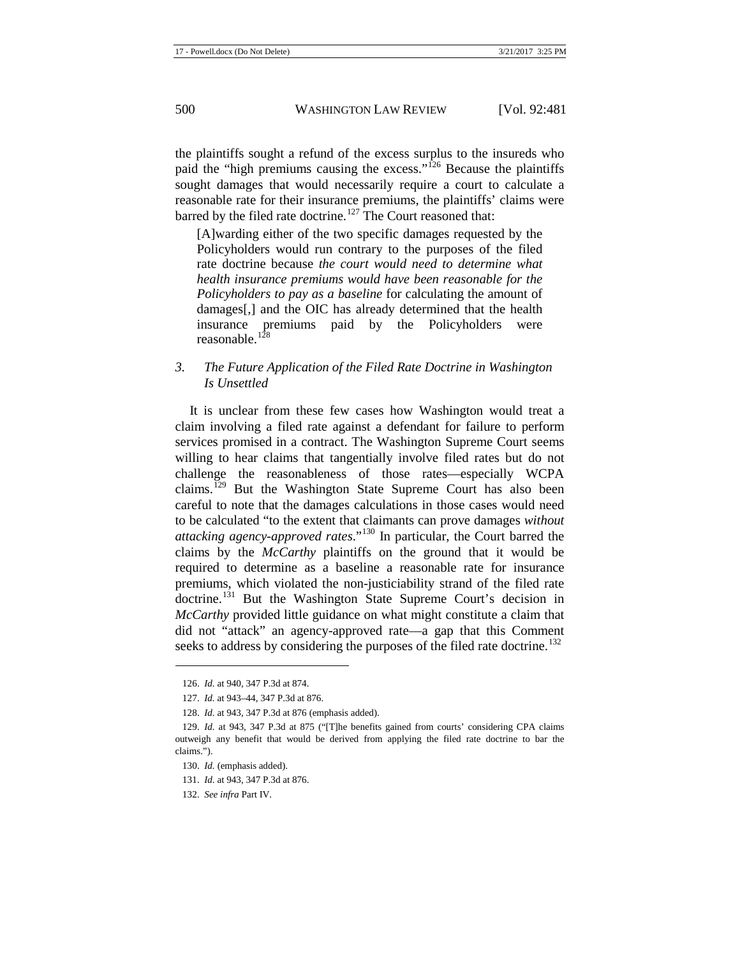the plaintiffs sought a refund of the excess surplus to the insureds who paid the "high premiums causing the excess."[126](#page-20-0) Because the plaintiffs sought damages that would necessarily require a court to calculate a reasonable rate for their insurance premiums, the plaintiffs' claims were barred by the filed rate doctrine.<sup>[127](#page-20-1)</sup> The Court reasoned that:

[A]warding either of the two specific damages requested by the Policyholders would run contrary to the purposes of the filed rate doctrine because *the court would need to determine what health insurance premiums would have been reasonable for the Policyholders to pay as a baseline* for calculating the amount of damages[,] and the OIC has already determined that the health insurance premiums paid by the Policyholders were reasonable. $128$ 

# *3. The Future Application of the Filed Rate Doctrine in Washington Is Unsettled*

It is unclear from these few cases how Washington would treat a claim involving a filed rate against a defendant for failure to perform services promised in a contract. The Washington Supreme Court seems willing to hear claims that tangentially involve filed rates but do not challenge the reasonableness of those rates—especially WCPA claims.<sup>[129](#page-20-3)</sup> But the Washington State Supreme Court has also been careful to note that the damages calculations in those cases would need to be calculated "to the extent that claimants can prove damages *without attacking agency-approved rates*."[130](#page-20-4) In particular, the Court barred the claims by the *McCarthy* plaintiffs on the ground that it would be required to determine as a baseline a reasonable rate for insurance premiums, which violated the non-justiciability strand of the filed rate doctrine.<sup>[131](#page-20-5)</sup> But the Washington State Supreme Court's decision in *McCarthy* provided little guidance on what might constitute a claim that did not "attack" an agency-approved rate—a gap that this Comment seeks to address by considering the purposes of the filed rate doctrine.<sup>[132](#page-20-6)</sup>

<sup>126.</sup> *Id.* at 940, 347 P.3d at 874.

<sup>127.</sup> *Id.* at 943–44, 347 P.3d at 876.

<sup>128.</sup> *Id.* at 943, 347 P.3d at 876 (emphasis added).

<span id="page-20-4"></span><span id="page-20-3"></span><span id="page-20-2"></span><span id="page-20-1"></span><span id="page-20-0"></span><sup>129.</sup> *Id.* at 943, 347 P.3d at 875 ("[T]he benefits gained from courts' considering CPA claims outweigh any benefit that would be derived from applying the filed rate doctrine to bar the claims.").

<sup>130.</sup> *Id.* (emphasis added).

<span id="page-20-5"></span><sup>131.</sup> *Id.* at 943, 347 P.3d at 876.

<span id="page-20-6"></span><sup>132.</sup> *See infra* Part IV.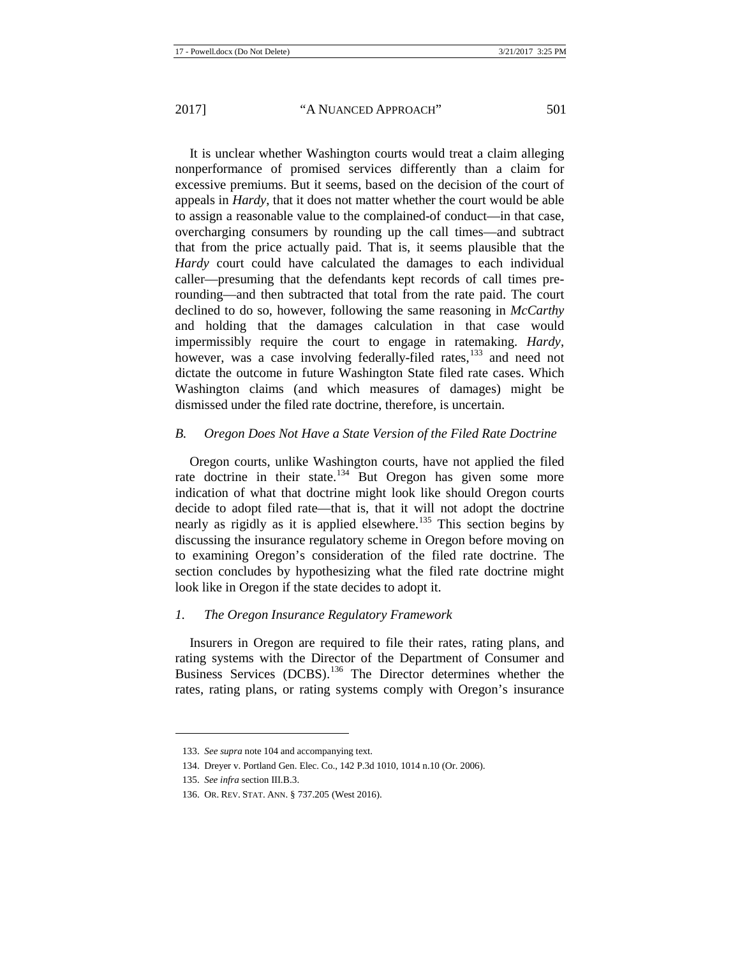It is unclear whether Washington courts would treat a claim alleging nonperformance of promised services differently than a claim for excessive premiums. But it seems, based on the decision of the court of appeals in *Hardy*, that it does not matter whether the court would be able to assign a reasonable value to the complained-of conduct—in that case, overcharging consumers by rounding up the call times—and subtract that from the price actually paid. That is, it seems plausible that the *Hardy* court could have calculated the damages to each individual caller—presuming that the defendants kept records of call times prerounding—and then subtracted that total from the rate paid. The court declined to do so, however, following the same reasoning in *McCarthy* and holding that the damages calculation in that case would impermissibly require the court to engage in ratemaking. *Hardy*, however, was a case involving federally-filed rates,<sup>[133](#page-21-0)</sup> and need not dictate the outcome in future Washington State filed rate cases. Which Washington claims (and which measures of damages) might be dismissed under the filed rate doctrine, therefore, is uncertain.

### *B. Oregon Does Not Have a State Version of the Filed Rate Doctrine*

Oregon courts, unlike Washington courts, have not applied the filed rate doctrine in their state.<sup>[134](#page-21-1)</sup> But Oregon has given some more indication of what that doctrine might look like should Oregon courts decide to adopt filed rate—that is, that it will not adopt the doctrine nearly as rigidly as it is applied elsewhere.<sup>[135](#page-21-2)</sup> This section begins by discussing the insurance regulatory scheme in Oregon before moving on to examining Oregon's consideration of the filed rate doctrine. The section concludes by hypothesizing what the filed rate doctrine might look like in Oregon if the state decides to adopt it.

# *1. The Oregon Insurance Regulatory Framework*

Insurers in Oregon are required to file their rates, rating plans, and rating systems with the Director of the Department of Consumer and Business Services (DCBS).<sup>[136](#page-21-3)</sup> The Director determines whether the rates, rating plans, or rating systems comply with Oregon's insurance

<span id="page-21-0"></span><sup>133.</sup> *See supra* not[e 104](#page-17-6) and accompanying text.

<span id="page-21-1"></span><sup>134.</sup> Dreyer v. Portland Gen. Elec. Co., 142 P.3d 1010, 1014 n.10 (Or. 2006).

<sup>135.</sup> *See infra* section III.B.3.

<span id="page-21-3"></span><span id="page-21-2"></span><sup>136.</sup> OR. REV. STAT. ANN. § 737.205 (West 2016).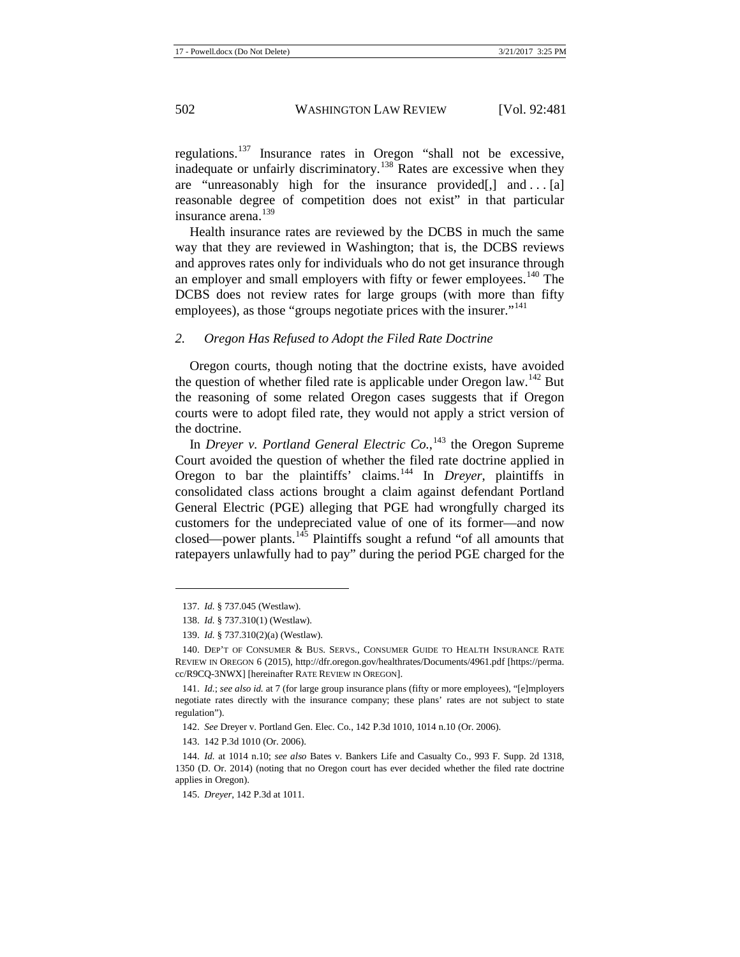regulations.[137](#page-22-0) Insurance rates in Oregon "shall not be excessive, inadequate or unfairly discriminatory.<sup>[138](#page-22-1)</sup> Rates are excessive when they are "unreasonably high for the insurance provided $[$ , $]$  and . . . [a] reasonable degree of competition does not exist" in that particular insurance arena.<sup>[139](#page-22-2)</sup>

<span id="page-22-9"></span>Health insurance rates are reviewed by the DCBS in much the same way that they are reviewed in Washington; that is, the DCBS reviews and approves rates only for individuals who do not get insurance through an employer and small employers with fifty or fewer employees.<sup>[140](#page-22-3)</sup> The DCBS does not review rates for large groups (with more than fifty employees), as those "groups negotiate prices with the insurer."<sup>[141](#page-22-4)</sup>

#### *2. Oregon Has Refused to Adopt the Filed Rate Doctrine*

Oregon courts, though noting that the doctrine exists, have avoided the question of whether filed rate is applicable under Oregon law.<sup>[142](#page-22-5)</sup> But the reasoning of some related Oregon cases suggests that if Oregon courts were to adopt filed rate, they would not apply a strict version of the doctrine.

In *Dreyer v. Portland General Electric Co.*,<sup>[143](#page-22-6)</sup> the Oregon Supreme Court avoided the question of whether the filed rate doctrine applied in Oregon to bar the plaintiffs' claims.[144](#page-22-7) In *Dreyer*, plaintiffs in consolidated class actions brought a claim against defendant Portland General Electric (PGE) alleging that PGE had wrongfully charged its customers for the undepreciated value of one of its former—and now closed—power plants.<sup>[145](#page-22-8)</sup> Plaintiffs sought a refund "of all amounts that ratepayers unlawfully had to pay" during the period PGE charged for the

<sup>137.</sup> *Id.* § 737.045 (Westlaw).

<sup>138.</sup> *Id.* § 737.310(1) (Westlaw).

<sup>139.</sup> *Id.* § 737.310(2)(a) (Westlaw).

<span id="page-22-3"></span><span id="page-22-2"></span><span id="page-22-1"></span><span id="page-22-0"></span><sup>140.</sup> DEP'T OF CONSUMER & BUS. SERVS., CONSUMER GUIDE TO HEALTH INSURANCE RATE REVIEW IN OREGON 6 (2015), http://dfr.oregon.gov/healthrates/Documents/4961.pdf [https://perma. cc/R9CQ-3NWX] [hereinafter RATE REVIEW IN OREGON].

<span id="page-22-4"></span><sup>141.</sup> *Id.*; *see also id.* at 7 (for large group insurance plans (fifty or more employees), "[e]mployers negotiate rates directly with the insurance company; these plans' rates are not subject to state regulation").

<sup>142.</sup> *See* Dreyer v. Portland Gen. Elec. Co., 142 P.3d 1010, 1014 n.10 (Or. 2006).

<sup>143.</sup> 142 P.3d 1010 (Or. 2006).

<span id="page-22-8"></span><span id="page-22-7"></span><span id="page-22-6"></span><span id="page-22-5"></span><sup>144.</sup> *Id.* at 1014 n.10; *see also* Bates v. Bankers Life and Casualty Co., 993 F. Supp. 2d 1318, 1350 (D. Or. 2014) (noting that no Oregon court has ever decided whether the filed rate doctrine applies in Oregon).

<sup>145.</sup> *Dreyer*, 142 P.3d at 1011.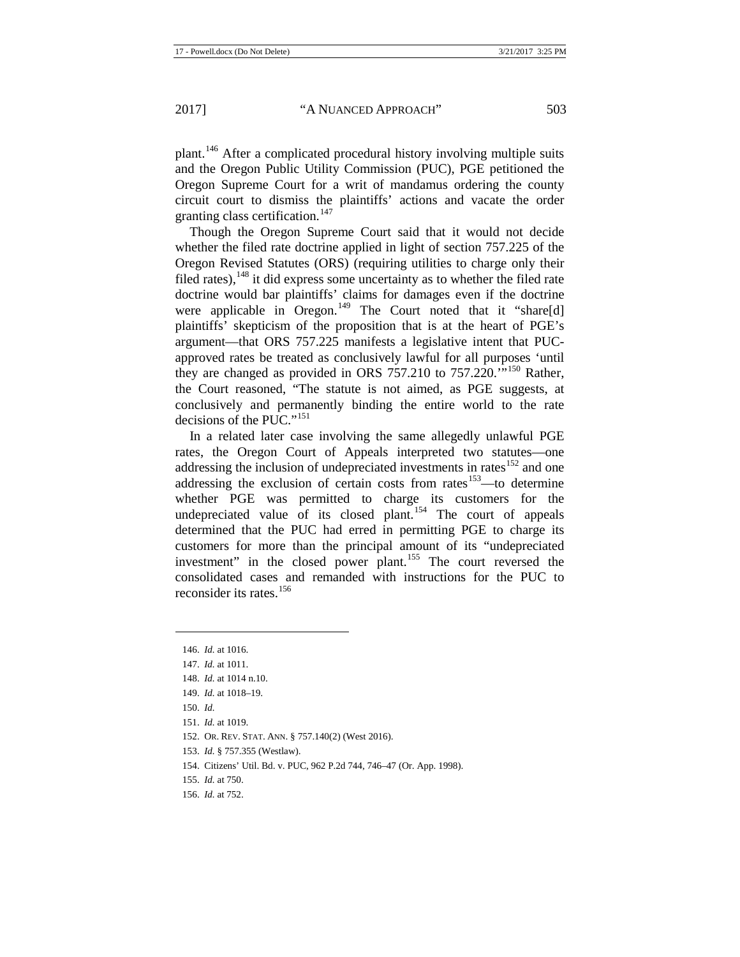plant.[146](#page-23-0) After a complicated procedural history involving multiple suits and the Oregon Public Utility Commission (PUC), PGE petitioned the Oregon Supreme Court for a writ of mandamus ordering the county circuit court to dismiss the plaintiffs' actions and vacate the order granting class certification.<sup>[147](#page-23-1)</sup>

Though the Oregon Supreme Court said that it would not decide whether the filed rate doctrine applied in light of section 757.225 of the Oregon Revised Statutes (ORS) (requiring utilities to charge only their filed rates),  $^{148}$  $^{148}$  $^{148}$  it did express some uncertainty as to whether the filed rate doctrine would bar plaintiffs' claims for damages even if the doctrine were applicable in Oregon.<sup>[149](#page-23-3)</sup> The Court noted that it "share[d] plaintiffs' skepticism of the proposition that is at the heart of PGE's argument—that ORS 757.225 manifests a legislative intent that PUCapproved rates be treated as conclusively lawful for all purposes 'until they are changed as provided in ORS 757.210 to 757.220. $\cdots$ [150](#page-23-4) Rather, the Court reasoned, "The statute is not aimed, as PGE suggests, at conclusively and permanently binding the entire world to the rate decisions of the PUC."<sup>[151](#page-23-5)</sup>

In a related later case involving the same allegedly unlawful PGE rates, the Oregon Court of Appeals interpreted two statutes—one addressing the inclusion of undepreciated investments in rates<sup>[152](#page-23-6)</sup> and one addressing the exclusion of certain costs from rates<sup>[153](#page-23-7)</sup>—to determine whether PGE was permitted to charge its customers for the undepreciated value of its closed plant.<sup>[154](#page-23-8)</sup> The court of appeals determined that the PUC had erred in permitting PGE to charge its customers for more than the principal amount of its "undepreciated investment" in the closed power plant.<sup>[155](#page-23-9)</sup> The court reversed the consolidated cases and remanded with instructions for the PUC to reconsider its rates.<sup>[156](#page-23-10)</sup>

<span id="page-23-1"></span><span id="page-23-0"></span>**.** 

<span id="page-23-8"></span>154. Citizens' Util. Bd. v. PUC, 962 P.2d 744, 746–47 (Or. App. 1998).

<sup>146.</sup> *Id.* at 1016.

<sup>147.</sup> *Id.* at 1011.

<span id="page-23-2"></span><sup>148.</sup> *Id.* at 1014 n.10.

<span id="page-23-3"></span><sup>149.</sup> *Id.* at 1018–19.

<span id="page-23-4"></span><sup>150.</sup> *Id.*

<span id="page-23-5"></span><sup>151.</sup> *Id.* at 1019.

<span id="page-23-6"></span><sup>152.</sup> OR. REV. STAT. ANN. § 757.140(2) (West 2016).

<span id="page-23-7"></span><sup>153.</sup> *Id.* § 757.355 (Westlaw).

<sup>155.</sup> *Id.* at 750.

<span id="page-23-10"></span><span id="page-23-9"></span><sup>156.</sup> *Id.* at 752.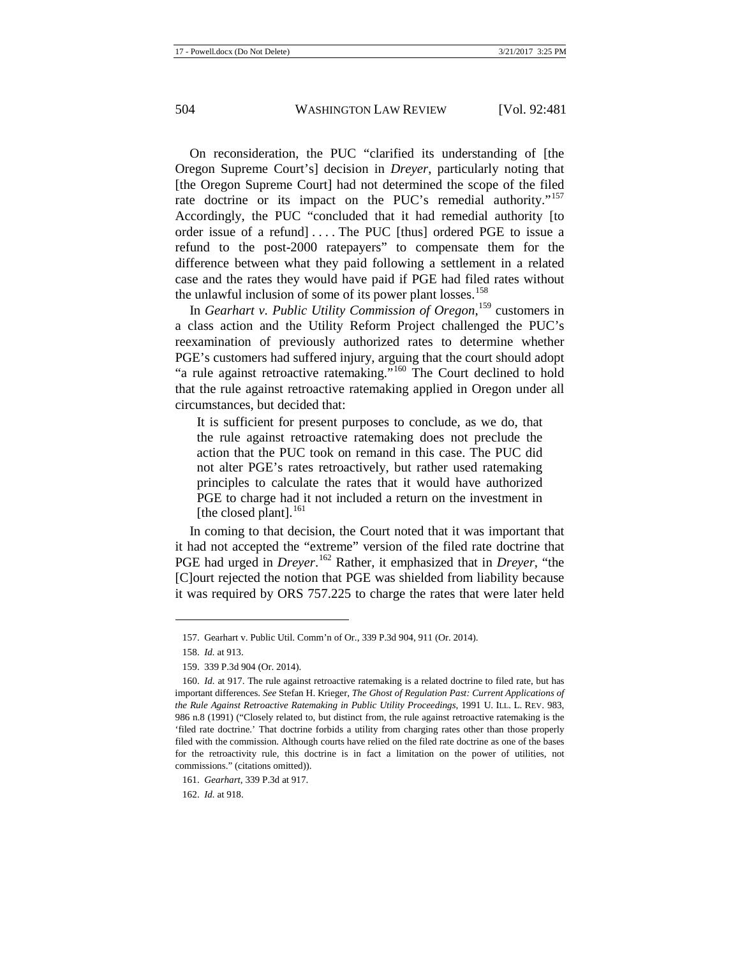On reconsideration, the PUC "clarified its understanding of [the Oregon Supreme Court's] decision in *Dreyer*, particularly noting that [the Oregon Supreme Court] had not determined the scope of the filed rate doctrine or its impact on the PUC's remedial authority."<sup>[157](#page-24-0)</sup> Accordingly, the PUC "concluded that it had remedial authority [to order issue of a refund.... The PUC [thus] ordered PGE to issue a refund to the post-2000 ratepayers" to compensate them for the difference between what they paid following a settlement in a related case and the rates they would have paid if PGE had filed rates without the unlawful inclusion of some of its power plant losses.<sup>[158](#page-24-1)</sup>

In *Gearhart v. Public Utility Commission of Oregon*, [159](#page-24-2) customers in a class action and the Utility Reform Project challenged the PUC's reexamination of previously authorized rates to determine whether PGE's customers had suffered injury, arguing that the court should adopt "a rule against retroactive ratemaking."<sup>[160](#page-24-3)</sup> The Court declined to hold that the rule against retroactive ratemaking applied in Oregon under all circumstances, but decided that:

It is sufficient for present purposes to conclude, as we do, that the rule against retroactive ratemaking does not preclude the action that the PUC took on remand in this case. The PUC did not alter PGE's rates retroactively, but rather used ratemaking principles to calculate the rates that it would have authorized PGE to charge had it not included a return on the investment in [the closed plant]. $^{161}$  $^{161}$  $^{161}$ 

In coming to that decision, the Court noted that it was important that it had not accepted the "extreme" version of the filed rate doctrine that PGE had urged in *Dreyer*.<sup>[162](#page-24-5)</sup> Rather, it emphasized that in *Dreyer*, "the [C]ourt rejected the notion that PGE was shielded from liability because it was required by ORS 757.225 to charge the rates that were later held

<span id="page-24-0"></span>**.** 

<span id="page-24-5"></span>162. *Id.* at 918.

<sup>157.</sup> Gearhart v. Public Util. Comm'n of Or., 339 P.3d 904, 911 (Or. 2014).

<sup>158.</sup> *Id.* at 913.

<sup>159.</sup> 339 P.3d 904 (Or. 2014).

<span id="page-24-3"></span><span id="page-24-2"></span><span id="page-24-1"></span><sup>160.</sup> *Id.* at 917. The rule against retroactive ratemaking is a related doctrine to filed rate, but has important differences. *See* Stefan H. Krieger, *The Ghost of Regulation Past: Current Applications of the Rule Against Retroactive Ratemaking in Public Utility Proceedings*, 1991 U. ILL. L. REV. 983, 986 n.8 (1991) ("Closely related to, but distinct from, the rule against retroactive ratemaking is the 'filed rate doctrine.' That doctrine forbids a utility from charging rates other than those properly filed with the commission. Although courts have relied on the filed rate doctrine as one of the bases for the retroactivity rule, this doctrine is in fact a limitation on the power of utilities, not commissions." (citations omitted)).

<span id="page-24-4"></span><sup>161.</sup> *Gearhart*, 339 P.3d at 917.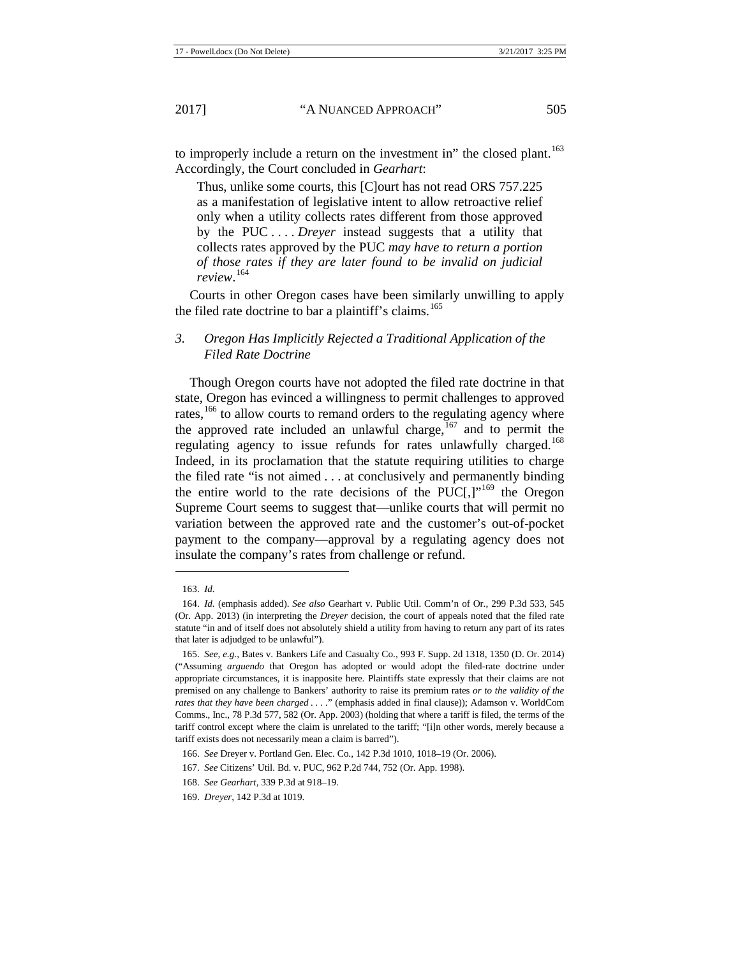to improperly include a return on the investment in" the closed plant.<sup>[163](#page-25-0)</sup> Accordingly, the Court concluded in *Gearhart*:

Thus, unlike some courts, this [C]ourt has not read ORS 757.225 as a manifestation of legislative intent to allow retroactive relief only when a utility collects rates different from those approved by the PUC . . . . *Dreyer* instead suggests that a utility that collects rates approved by the PUC *may have to return a portion of those rates if they are later found to be invalid on judicial review*. [164](#page-25-1)

Courts in other Oregon cases have been similarly unwilling to apply the filed rate doctrine to bar a plaintiff's claims.<sup>[165](#page-25-2)</sup>

# *3. Oregon Has Implicitly Rejected a Traditional Application of the Filed Rate Doctrine*

Though Oregon courts have not adopted the filed rate doctrine in that state, Oregon has evinced a willingness to permit challenges to approved rates,<sup>[166](#page-25-3)</sup> to allow courts to remand orders to the regulating agency where the approved rate included an unlawful charge,<sup>[167](#page-25-4)</sup> and to permit the regulating agency to issue refunds for rates unlawfully charged.<sup>[168](#page-25-5)</sup> Indeed, in its proclamation that the statute requiring utilities to charge the filed rate "is not aimed . . . at conclusively and permanently binding the entire world to the rate decisions of the PUC[,]" $169$  the Oregon Supreme Court seems to suggest that—unlike courts that will permit no variation between the approved rate and the customer's out-of-pocket payment to the company—approval by a regulating agency does not insulate the company's rates from challenge or refund.

1

<sup>163.</sup> *Id.*

<span id="page-25-1"></span><span id="page-25-0"></span><sup>164.</sup> *Id.* (emphasis added). *See also* Gearhart v. Public Util. Comm'n of Or., 299 P.3d 533, 545 (Or. App. 2013) (in interpreting the *Dreyer* decision, the court of appeals noted that the filed rate statute "in and of itself does not absolutely shield a utility from having to return any part of its rates that later is adjudged to be unlawful").

<span id="page-25-2"></span><sup>165.</sup> *See, e.g.*, Bates v. Bankers Life and Casualty Co., 993 F. Supp. 2d 1318, 1350 (D. Or. 2014) ("Assuming *arguendo* that Oregon has adopted or would adopt the filed-rate doctrine under appropriate circumstances, it is inapposite here. Plaintiffs state expressly that their claims are not premised on any challenge to Bankers' authority to raise its premium rates *or to the validity of the rates that they have been charged . . .* ." (emphasis added in final clause)); Adamson v. WorldCom Comms., Inc., 78 P.3d 577, 582 (Or. App. 2003) (holding that where a tariff is filed, the terms of the tariff control except where the claim is unrelated to the tariff; "[i]n other words, merely because a tariff exists does not necessarily mean a claim is barred").

<sup>166.</sup> *See* Dreyer v. Portland Gen. Elec. Co., 142 P.3d 1010, 1018–19 (Or. 2006).

<span id="page-25-4"></span><span id="page-25-3"></span><sup>167.</sup> *See* Citizens' Util. Bd. v. PUC, 962 P.2d 744, 752 (Or. App. 1998).

<sup>168.</sup> *See Gearhart*, 339 P.3d at 918–19.

<span id="page-25-6"></span><span id="page-25-5"></span><sup>169.</sup> *Dreyer*, 142 P.3d at 1019.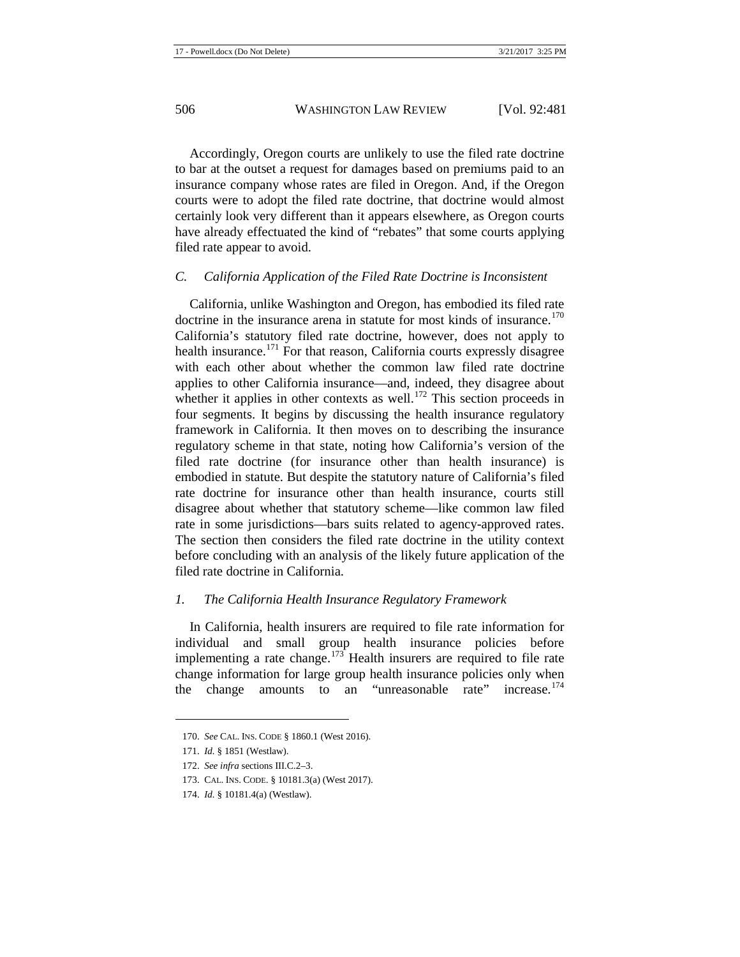Accordingly, Oregon courts are unlikely to use the filed rate doctrine to bar at the outset a request for damages based on premiums paid to an insurance company whose rates are filed in Oregon. And, if the Oregon courts were to adopt the filed rate doctrine, that doctrine would almost certainly look very different than it appears elsewhere, as Oregon courts have already effectuated the kind of "rebates" that some courts applying filed rate appear to avoid.

#### *C. California Application of the Filed Rate Doctrine is Inconsistent*

California, unlike Washington and Oregon, has embodied its filed rate doctrine in the insurance arena in statute for most kinds of insurance. $170$ California's statutory filed rate doctrine, however, does not apply to health insurance.<sup>[171](#page-26-1)</sup> For that reason, California courts expressly disagree with each other about whether the common law filed rate doctrine applies to other California insurance—and, indeed, they disagree about whether it applies in other contexts as well.<sup>[172](#page-26-2)</sup> This section proceeds in four segments. It begins by discussing the health insurance regulatory framework in California. It then moves on to describing the insurance regulatory scheme in that state, noting how California's version of the filed rate doctrine (for insurance other than health insurance) is embodied in statute. But despite the statutory nature of California's filed rate doctrine for insurance other than health insurance, courts still disagree about whether that statutory scheme—like common law filed rate in some jurisdictions—bars suits related to agency-approved rates. The section then considers the filed rate doctrine in the utility context before concluding with an analysis of the likely future application of the filed rate doctrine in California.

#### *1. The California Health Insurance Regulatory Framework*

In California, health insurers are required to file rate information for individual and small group health insurance policies before implementing a rate change.<sup>[173](#page-26-3)</sup> Health insurers are required to file rate change information for large group health insurance policies only when the change amounts to an "unreasonable rate" increase.<sup>[174](#page-26-4)</sup>

<span id="page-26-0"></span><sup>170.</sup> *See* CAL. INS. CODE § 1860.1 (West 2016).

<span id="page-26-1"></span><sup>171.</sup> *Id.* § 1851 (Westlaw).

<span id="page-26-2"></span><sup>172.</sup> *See infra* sections III.C.2–3.

<sup>173.</sup> CAL. INS. CODE. § 10181.3(a) (West 2017).

<span id="page-26-4"></span><span id="page-26-3"></span><sup>174.</sup> *Id.* § 10181.4(a) (Westlaw).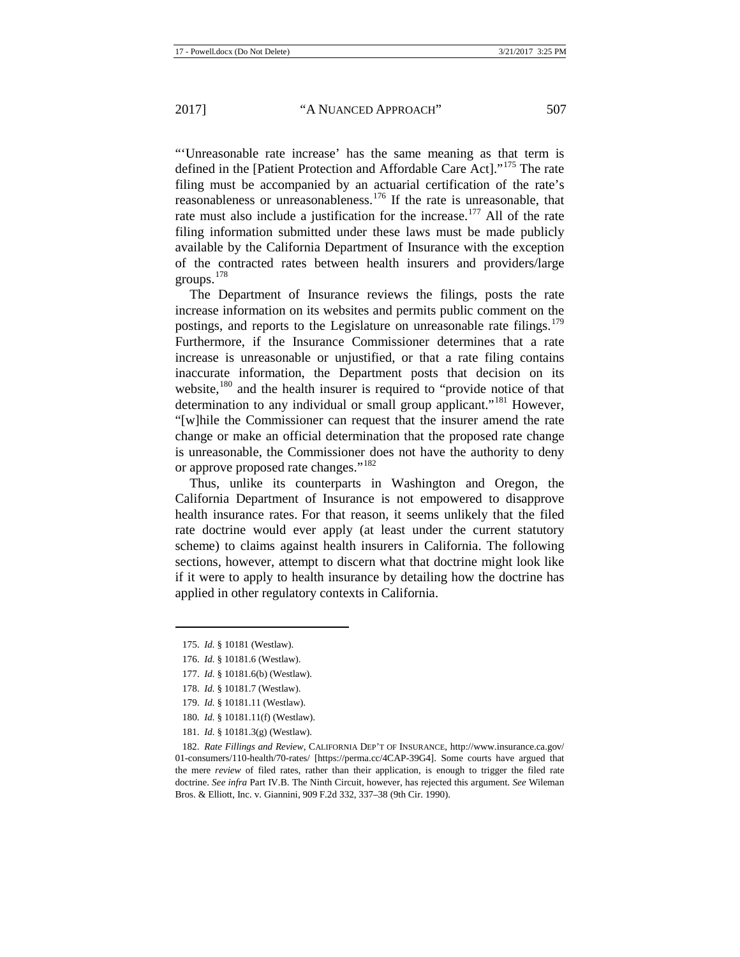"'Unreasonable rate increase' has the same meaning as that term is defined in the [Patient Protection and Affordable Care Act]."<sup>[175](#page-27-0)</sup> The rate filing must be accompanied by an actuarial certification of the rate's reasonableness or unreasonableness.[176](#page-27-1) If the rate is unreasonable, that rate must also include a justification for the increase.<sup>[177](#page-27-2)</sup> All of the rate filing information submitted under these laws must be made publicly available by the California Department of Insurance with the exception of the contracted rates between health insurers and providers/large groups.[178](#page-27-3)

The Department of Insurance reviews the filings, posts the rate increase information on its websites and permits public comment on the postings, and reports to the Legislature on unreasonable rate filings.<sup>[179](#page-27-4)</sup> Furthermore, if the Insurance Commissioner determines that a rate increase is unreasonable or unjustified, or that a rate filing contains inaccurate information, the Department posts that decision on its website,<sup>[180](#page-27-5)</sup> and the health insurer is required to "provide notice of that determination to any individual or small group applicant."<sup>[181](#page-27-6)</sup> However, "[w]hile the Commissioner can request that the insurer amend the rate change or make an official determination that the proposed rate change is unreasonable, the Commissioner does not have the authority to deny or approve proposed rate changes."<sup>[182](#page-27-7)</sup>

Thus, unlike its counterparts in Washington and Oregon, the California Department of Insurance is not empowered to disapprove health insurance rates. For that reason, it seems unlikely that the filed rate doctrine would ever apply (at least under the current statutory scheme) to claims against health insurers in California. The following sections, however, attempt to discern what that doctrine might look like if it were to apply to health insurance by detailing how the doctrine has applied in other regulatory contexts in California.

<span id="page-27-2"></span><span id="page-27-1"></span><span id="page-27-0"></span>**.** 

- <span id="page-27-3"></span>178. *Id.* § 10181.7 (Westlaw).
- 179. *Id.* § 10181.11 (Westlaw).
- 180. *Id.* § 10181.11(f) (Westlaw).
- 181. *Id.* § 10181.3(g) (Westlaw).

<span id="page-27-7"></span><span id="page-27-6"></span><span id="page-27-5"></span><span id="page-27-4"></span>182. *Rate Fillings and Review*, CALIFORNIA DEP'T OF INSURANCE, http://www.insurance.ca.gov/ 01-consumers/110-health/70-rates/ [https://perma.cc/4CAP-39G4]. Some courts have argued that the mere *review* of filed rates, rather than their application, is enough to trigger the filed rate doctrine. *See infra* Part IV.B. The Ninth Circuit, however, has rejected this argument. *See* Wileman Bros. & Elliott, Inc. v. Giannini, 909 F.2d 332, 337–38 (9th Cir. 1990).

<sup>175.</sup> *Id.* § 10181 (Westlaw).

<sup>176.</sup> *Id.* § 10181.6 (Westlaw).

<sup>177.</sup> *Id.* § 10181.6(b) (Westlaw).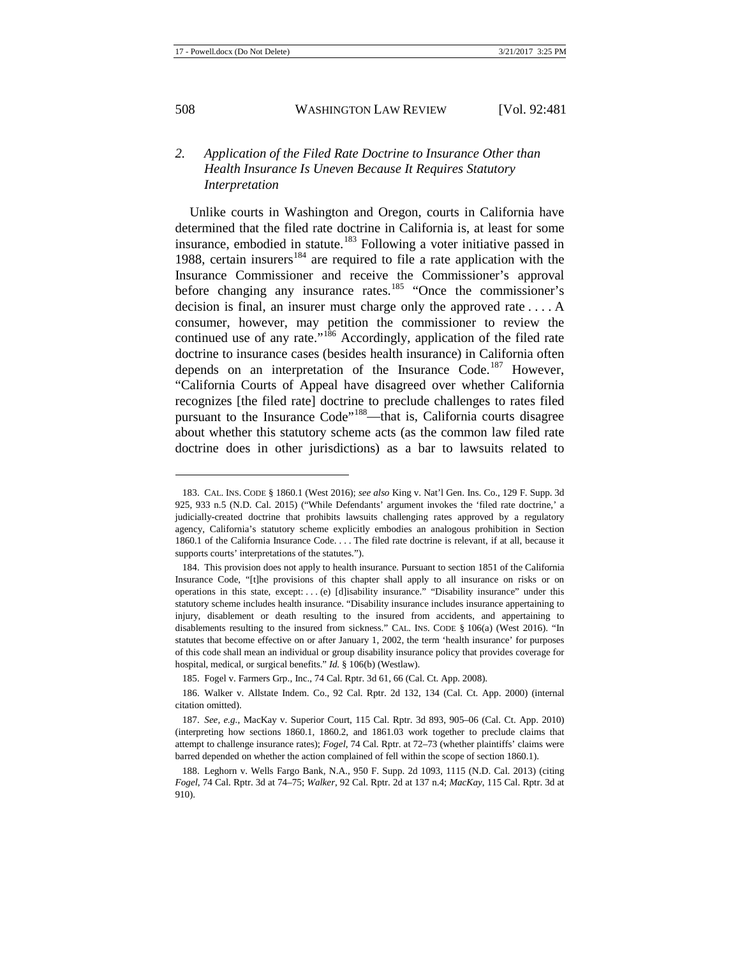# *2. Application of the Filed Rate Doctrine to Insurance Other than Health Insurance Is Uneven Because It Requires Statutory Interpretation*

Unlike courts in Washington and Oregon, courts in California have determined that the filed rate doctrine in California is, at least for some insurance, embodied in statute.<sup>[183](#page-28-0)</sup> Following a voter initiative passed in 1988, certain insurers<sup>[184](#page-28-1)</sup> are required to file a rate application with the Insurance Commissioner and receive the Commissioner's approval before changing any insurance rates.<sup>[185](#page-28-2)</sup> "Once the commissioner's decision is final, an insurer must charge only the approved rate . . . . A consumer, however, may petition the commissioner to review the continued use of any rate."<sup>[186](#page-28-3)</sup> Accordingly, application of the filed rate doctrine to insurance cases (besides health insurance) in California often depends on an interpretation of the Insurance Code.<sup>[187](#page-28-4)</sup> However, "California Courts of Appeal have disagreed over whether California recognizes [the filed rate] doctrine to preclude challenges to rates filed pursuant to the Insurance Code"<sup>188</sup>—that is, California courts disagree about whether this statutory scheme acts (as the common law filed rate doctrine does in other jurisdictions) as a bar to lawsuits related to

<span id="page-28-0"></span><sup>183.</sup> CAL. INS. CODE § 1860.1 (West 2016); *see also* King v. Nat'l Gen. Ins. Co., 129 F. Supp. 3d 925, 933 n.5 (N.D. Cal. 2015) ("While Defendants' argument invokes the 'filed rate doctrine,' a judicially-created doctrine that prohibits lawsuits challenging rates approved by a regulatory agency, California's statutory scheme explicitly embodies an analogous prohibition in Section 1860.1 of the California Insurance Code. . . . The filed rate doctrine is relevant, if at all, because it supports courts' interpretations of the statutes.").

<span id="page-28-1"></span><sup>184.</sup> This provision does not apply to health insurance. Pursuant to section 1851 of the California Insurance Code, "[t]he provisions of this chapter shall apply to all insurance on risks or on operations in this state, except: . . . (e) [d]isability insurance." "Disability insurance" under this statutory scheme includes health insurance. "Disability insurance includes insurance appertaining to injury, disablement or death resulting to the insured from accidents, and appertaining to disablements resulting to the insured from sickness." CAL. INS. CODE § 106(a) (West 2016). "In statutes that become effective on or after January 1, 2002, the term 'health insurance' for purposes of this code shall mean an individual or group disability insurance policy that provides coverage for hospital, medical, or surgical benefits." *Id.* § 106(b) (Westlaw).

<sup>185.</sup> Fogel v. Farmers Grp., Inc., 74 Cal. Rptr. 3d 61, 66 (Cal. Ct. App. 2008).

<span id="page-28-3"></span><span id="page-28-2"></span><sup>186.</sup> Walker v. Allstate Indem. Co., 92 Cal. Rptr. 2d 132, 134 (Cal. Ct. App. 2000) (internal citation omitted).

<span id="page-28-4"></span><sup>187.</sup> *See, e.g.*, MacKay v. Superior Court, 115 Cal. Rptr. 3d 893, 905–06 (Cal. Ct. App. 2010) (interpreting how sections 1860.1, 1860.2, and 1861.03 work together to preclude claims that attempt to challenge insurance rates); *Fogel*, 74 Cal. Rptr. at 72–73 (whether plaintiffs' claims were barred depended on whether the action complained of fell within the scope of section 1860.1).

<span id="page-28-5"></span><sup>188.</sup> Leghorn v. Wells Fargo Bank, N.A., 950 F. Supp. 2d 1093, 1115 (N.D. Cal. 2013) (citing *Fogel*, 74 Cal. Rptr. 3d at 74–75; *Walker*, 92 Cal. Rptr. 2d at 137 n.4; *MacKay*, 115 Cal. Rptr. 3d at 910).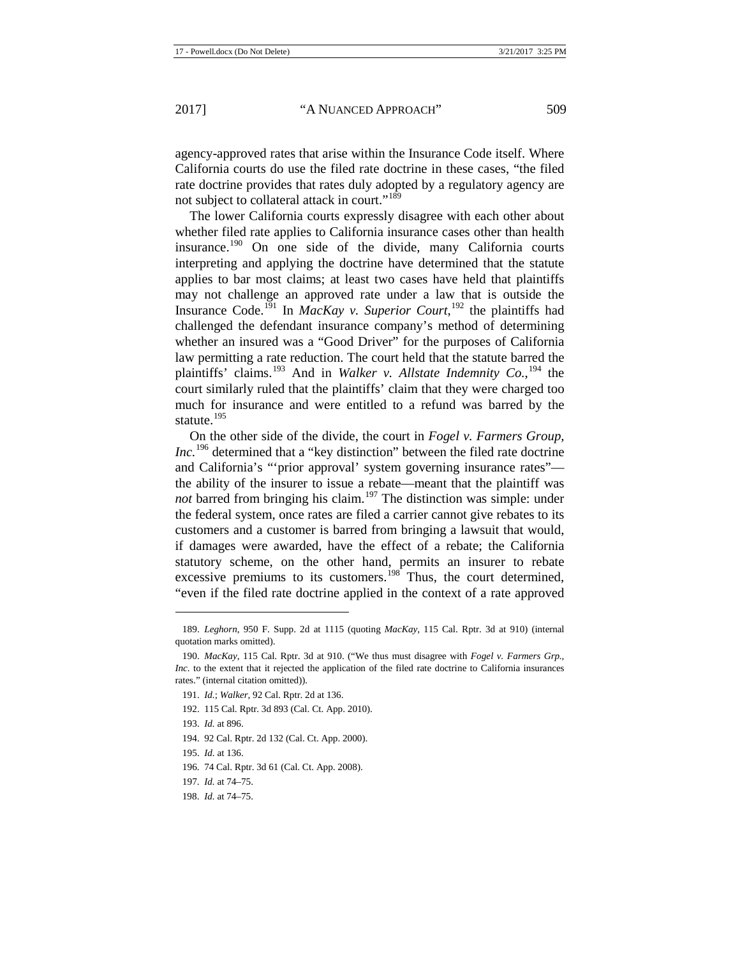agency-approved rates that arise within the Insurance Code itself. Where California courts do use the filed rate doctrine in these cases, "the filed rate doctrine provides that rates duly adopted by a regulatory agency are not subject to collateral attack in court."<sup>[189](#page-29-0)</sup>

The lower California courts expressly disagree with each other about whether filed rate applies to California insurance cases other than health insurance.[190](#page-29-1) On one side of the divide, many California courts interpreting and applying the doctrine have determined that the statute applies to bar most claims; at least two cases have held that plaintiffs may not challenge an approved rate under a law that is outside the Insurance Code.[191](#page-29-2) In *MacKay v. Superior Court*, [192](#page-29-3) the plaintiffs had challenged the defendant insurance company's method of determining whether an insured was a "Good Driver" for the purposes of California law permitting a rate reduction. The court held that the statute barred the plaintiffs' claims. [193](#page-29-4) And in *Walker v. Allstate Indemnity Co.*, [194](#page-29-5) the court similarly ruled that the plaintiffs' claim that they were charged too much for insurance and were entitled to a refund was barred by the statute.<sup>[195](#page-29-6)</sup>

On the other side of the divide, the court in *Fogel v. Farmers Group, Inc.*<sup>[196](#page-29-7)</sup> determined that a "key distinction" between the filed rate doctrine and California's "'prior approval' system governing insurance rates" the ability of the insurer to issue a rebate—meant that the plaintiff was *not* barred from bringing his claim.<sup>[197](#page-29-8)</sup> The distinction was simple: under the federal system, once rates are filed a carrier cannot give rebates to its customers and a customer is barred from bringing a lawsuit that would, if damages were awarded, have the effect of a rebate; the California statutory scheme, on the other hand, permits an insurer to rebate excessive premiums to its customers.<sup>[198](#page-29-9)</sup> Thus, the court determined, "even if the filed rate doctrine applied in the context of a rate approved

<span id="page-29-0"></span><sup>189.</sup> *Leghorn*, 950 F. Supp. 2d at 1115 (quoting *MacKay*, 115 Cal. Rptr. 3d at 910) (internal quotation marks omitted).

<span id="page-29-2"></span><span id="page-29-1"></span><sup>190.</sup> *MacKay*, 115 Cal. Rptr. 3d at 910. ("We thus must disagree with *Fogel v. Farmers Grp., Inc.* to the extent that it rejected the application of the filed rate doctrine to California insurances rates." (internal citation omitted)).

<span id="page-29-3"></span><sup>191.</sup> *Id.*; *Walker*, 92 Cal. Rptr. 2d at 136.

<sup>192.</sup> 115 Cal. Rptr. 3d 893 (Cal. Ct. App. 2010).

<span id="page-29-4"></span><sup>193.</sup> *Id.* at 896.

<span id="page-29-5"></span><sup>194.</sup> 92 Cal. Rptr. 2d 132 (Cal. Ct. App. 2000).

<span id="page-29-6"></span><sup>195.</sup> *Id.* at 136.

<span id="page-29-7"></span><sup>196.</sup> 74 Cal. Rptr. 3d 61 (Cal. Ct. App. 2008).

<sup>197.</sup> *Id.* at 74–75.

<span id="page-29-9"></span><span id="page-29-8"></span><sup>198.</sup> *Id.* at 74–75.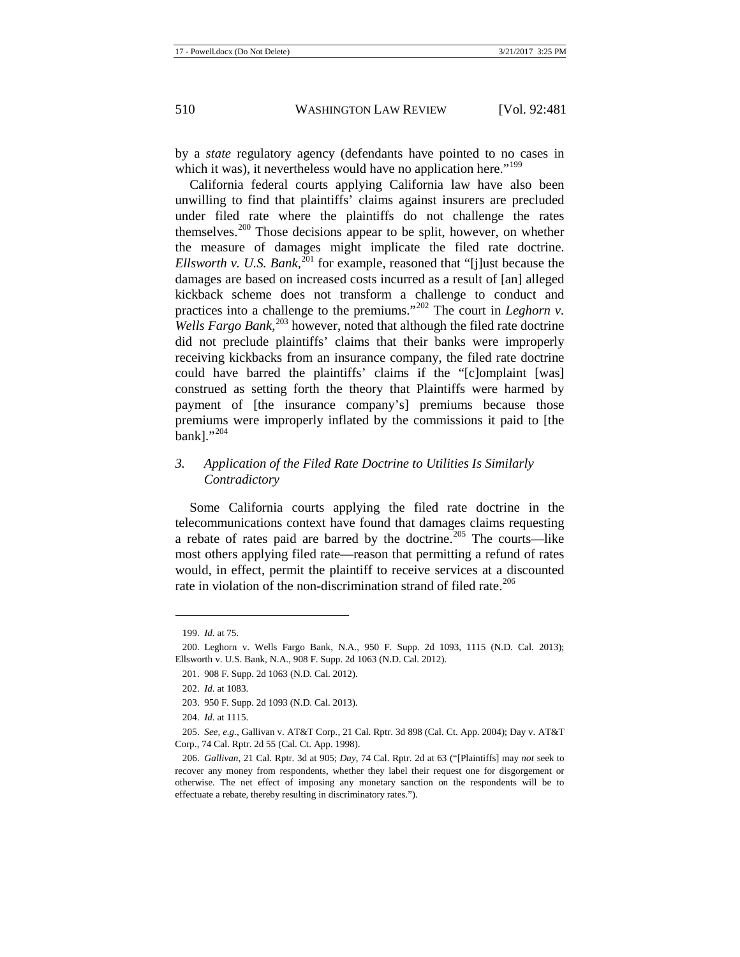by a *state* regulatory agency (defendants have pointed to no cases in which it was), it nevertheless would have no application here."<sup>[199](#page-30-0)</sup>

California federal courts applying California law have also been unwilling to find that plaintiffs' claims against insurers are precluded under filed rate where the plaintiffs do not challenge the rates themselves.[200](#page-30-1) Those decisions appear to be split, however, on whether the measure of damages might implicate the filed rate doctrine. *Ellsworth v. U.S. Bank*, [201](#page-30-2) for example, reasoned that "[j]ust because the damages are based on increased costs incurred as a result of [an] alleged kickback scheme does not transform a challenge to conduct and practices into a challenge to the premiums."<sup>[202](#page-30-3)</sup> The court in *Leghorn v*. *Wells Fargo Bank*, [203](#page-30-4) however, noted that although the filed rate doctrine did not preclude plaintiffs' claims that their banks were improperly receiving kickbacks from an insurance company, the filed rate doctrine could have barred the plaintiffs' claims if the "[c]omplaint [was] construed as setting forth the theory that Plaintiffs were harmed by payment of [the insurance company's] premiums because those premiums were improperly inflated by the commissions it paid to [the bank]."<sup>[204](#page-30-5)</sup>

# *3. Application of the Filed Rate Doctrine to Utilities Is Similarly Contradictory*

Some California courts applying the filed rate doctrine in the telecommunications context have found that damages claims requesting a rebate of rates paid are barred by the doctrine.<sup>[205](#page-30-6)</sup> The courts—like most others applying filed rate—reason that permitting a refund of rates would, in effect, permit the plaintiff to receive services at a discounted rate in violation of the non-discrimination strand of filed rate.<sup>[206](#page-30-7)</sup>

<sup>199.</sup> *Id.* at 75.

<span id="page-30-3"></span><span id="page-30-2"></span><span id="page-30-1"></span><span id="page-30-0"></span><sup>200.</sup> Leghorn v. Wells Fargo Bank, N.A., 950 F. Supp. 2d 1093, 1115 (N.D. Cal. 2013); Ellsworth v. U.S. Bank, N.A., 908 F. Supp. 2d 1063 (N.D. Cal. 2012).

<sup>201.</sup> 908 F. Supp. 2d 1063 (N.D. Cal. 2012).

<sup>202.</sup> *Id.* at 1083.

<sup>203.</sup> 950 F. Supp. 2d 1093 (N.D. Cal. 2013).

<sup>204.</sup> *Id.* at 1115.

<span id="page-30-6"></span><span id="page-30-5"></span><span id="page-30-4"></span><sup>205.</sup> *See, e.g.*, Gallivan v. AT&T Corp., 21 Cal. Rptr. 3d 898 (Cal. Ct. App. 2004); Day v. AT&T Corp., 74 Cal. Rptr. 2d 55 (Cal. Ct. App. 1998).

<span id="page-30-7"></span><sup>206.</sup> *Gallivan*, 21 Cal. Rptr. 3d at 905; *Day*, 74 Cal. Rptr. 2d at 63 ("[Plaintiffs] may *not* seek to recover any money from respondents, whether they label their request one for disgorgement or otherwise. The net effect of imposing any monetary sanction on the respondents will be to effectuate a rebate, thereby resulting in discriminatory rates.").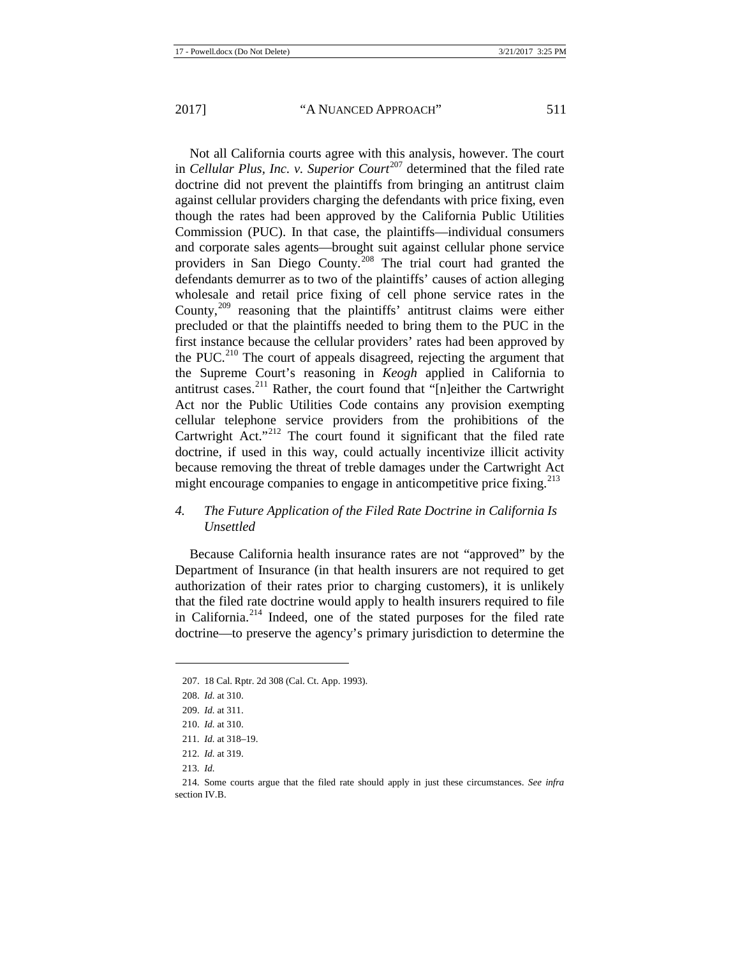Not all California courts agree with this analysis, however. The court in *Cellular Plus, Inc. v. Superior Court*<sup>[207](#page-31-0)</sup> determined that the filed rate doctrine did not prevent the plaintiffs from bringing an antitrust claim against cellular providers charging the defendants with price fixing, even though the rates had been approved by the California Public Utilities Commission (PUC). In that case, the plaintiffs—individual consumers and corporate sales agents—brought suit against cellular phone service providers in San Diego County. [208](#page-31-1) The trial court had granted the defendants demurrer as to two of the plaintiffs' causes of action alleging wholesale and retail price fixing of cell phone service rates in the County,  $209$  reasoning that the plaintiffs' antitrust claims were either precluded or that the plaintiffs needed to bring them to the PUC in the first instance because the cellular providers' rates had been approved by the PUC.<sup>[210](#page-31-3)</sup> The court of appeals disagreed, rejecting the argument that the Supreme Court's reasoning in *Keogh* applied in California to antitrust cases.[211](#page-31-4) Rather, the court found that "[n]either the Cartwright Act nor the Public Utilities Code contains any provision exempting cellular telephone service providers from the prohibitions of the Cartwright Act."<sup>[212](#page-31-5)</sup> The court found it significant that the filed rate doctrine, if used in this way, could actually incentivize illicit activity because removing the threat of treble damages under the Cartwright Act might encourage companies to engage in anticompetitive price fixing. $^{213}$  $^{213}$  $^{213}$ 

# *4. The Future Application of the Filed Rate Doctrine in California Is Unsettled*

Because California health insurance rates are not "approved" by the Department of Insurance (in that health insurers are not required to get authorization of their rates prior to charging customers), it is unlikely that the filed rate doctrine would apply to health insurers required to file in California.[214](#page-31-7) Indeed, one of the stated purposes for the filed rate doctrine—to preserve the agency's primary jurisdiction to determine the

213. *Id.*

<span id="page-31-0"></span><sup>207.</sup> 18 Cal. Rptr. 2d 308 (Cal. Ct. App. 1993).

<span id="page-31-1"></span><sup>208.</sup> *Id.* at 310.

<span id="page-31-2"></span><sup>209.</sup> *Id.* at 311.

<span id="page-31-3"></span><sup>210.</sup> *Id.* at 310.

<sup>211.</sup> *Id.* at 318–19.

<sup>212.</sup> *Id.* at 319.

<span id="page-31-7"></span><span id="page-31-6"></span><span id="page-31-5"></span><span id="page-31-4"></span><sup>214.</sup> Some courts argue that the filed rate should apply in just these circumstances. *See infra*  section IV.B.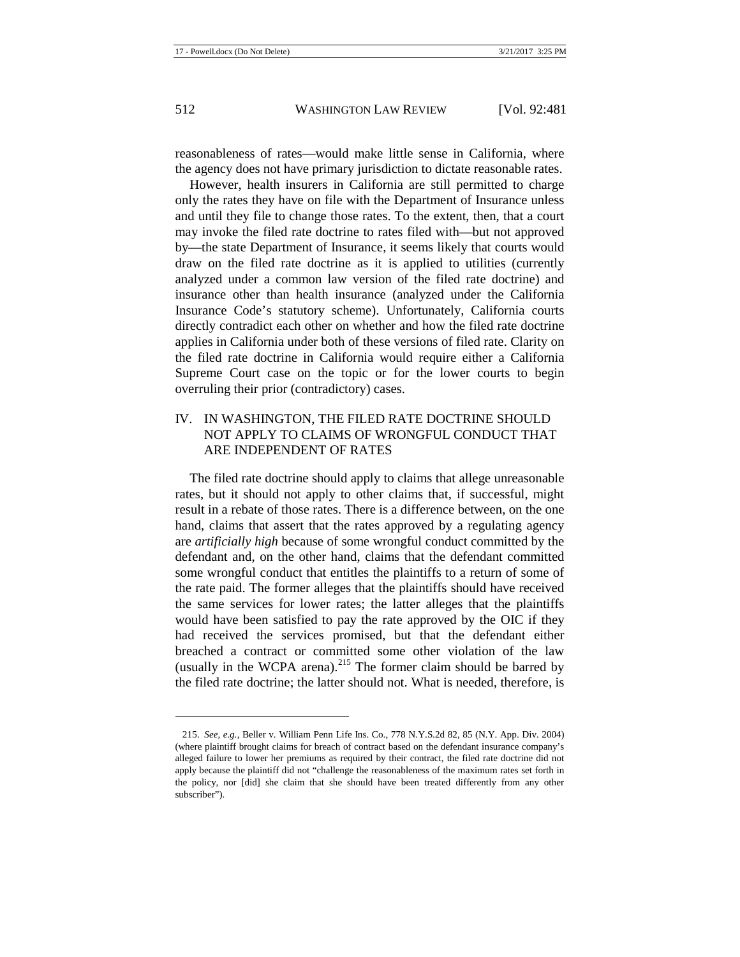reasonableness of rates—would make little sense in California, where the agency does not have primary jurisdiction to dictate reasonable rates.

However, health insurers in California are still permitted to charge only the rates they have on file with the Department of Insurance unless and until they file to change those rates. To the extent, then, that a court may invoke the filed rate doctrine to rates filed with—but not approved by—the state Department of Insurance, it seems likely that courts would draw on the filed rate doctrine as it is applied to utilities (currently analyzed under a common law version of the filed rate doctrine) and insurance other than health insurance (analyzed under the California Insurance Code's statutory scheme). Unfortunately, California courts directly contradict each other on whether and how the filed rate doctrine applies in California under both of these versions of filed rate. Clarity on the filed rate doctrine in California would require either a California Supreme Court case on the topic or for the lower courts to begin overruling their prior (contradictory) cases.

# IV. IN WASHINGTON, THE FILED RATE DOCTRINE SHOULD NOT APPLY TO CLAIMS OF WRONGFUL CONDUCT THAT ARE INDEPENDENT OF RATES

The filed rate doctrine should apply to claims that allege unreasonable rates, but it should not apply to other claims that, if successful, might result in a rebate of those rates. There is a difference between, on the one hand, claims that assert that the rates approved by a regulating agency are *artificially high* because of some wrongful conduct committed by the defendant and, on the other hand, claims that the defendant committed some wrongful conduct that entitles the plaintiffs to a return of some of the rate paid. The former alleges that the plaintiffs should have received the same services for lower rates; the latter alleges that the plaintiffs would have been satisfied to pay the rate approved by the OIC if they had received the services promised, but that the defendant either breached a contract or committed some other violation of the law (usually in the WCPA arena).<sup>[215](#page-32-0)</sup> The former claim should be barred by the filed rate doctrine; the latter should not. What is needed, therefore, is

<span id="page-32-0"></span><sup>215.</sup> *See, e.g.*, Beller v. William Penn Life Ins. Co., 778 N.Y.S.2d 82, 85 (N.Y. App. Div. 2004) (where plaintiff brought claims for breach of contract based on the defendant insurance company's alleged failure to lower her premiums as required by their contract, the filed rate doctrine did not apply because the plaintiff did not "challenge the reasonableness of the maximum rates set forth in the policy, nor [did] she claim that she should have been treated differently from any other subscriber").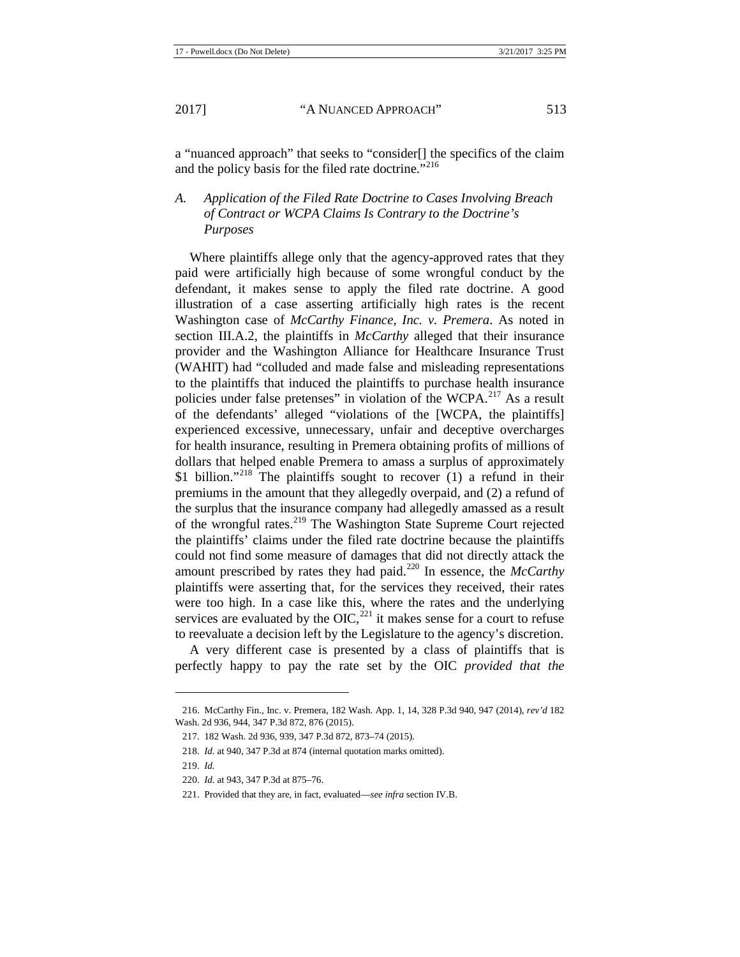a "nuanced approach" that seeks to "consider[] the specifics of the claim and the policy basis for the filed rate doctrine."<sup>[216](#page-33-0)</sup>

# *A. Application of the Filed Rate Doctrine to Cases Involving Breach of Contract or WCPA Claims Is Contrary to the Doctrine's Purposes*

Where plaintiffs allege only that the agency-approved rates that they paid were artificially high because of some wrongful conduct by the defendant, it makes sense to apply the filed rate doctrine. A good illustration of a case asserting artificially high rates is the recent Washington case of *McCarthy Finance, Inc. v. Premera*. As noted in section III.A.2, the plaintiffs in *McCarthy* alleged that their insurance provider and the Washington Alliance for Healthcare Insurance Trust (WAHIT) had "colluded and made false and misleading representations to the plaintiffs that induced the plaintiffs to purchase health insurance policies under false pretenses" in violation of the WCPA.<sup>[217](#page-33-1)</sup> As a result of the defendants' alleged "violations of the [WCPA, the plaintiffs] experienced excessive, unnecessary, unfair and deceptive overcharges for health insurance, resulting in Premera obtaining profits of millions of dollars that helped enable Premera to amass a surplus of approximately \$1 billion."<sup>[218](#page-33-2)</sup> The plaintiffs sought to recover  $(1)$  a refund in their premiums in the amount that they allegedly overpaid, and (2) a refund of the surplus that the insurance company had allegedly amassed as a result of the wrongful rates.[219](#page-33-3) The Washington State Supreme Court rejected the plaintiffs' claims under the filed rate doctrine because the plaintiffs could not find some measure of damages that did not directly attack the amount prescribed by rates they had paid.<sup>[220](#page-33-4)</sup> In essence, the *McCarthy* plaintiffs were asserting that, for the services they received, their rates were too high. In a case like this, where the rates and the underlying services are evaluated by the OIC,  $^{221}$  $^{221}$  $^{221}$  it makes sense for a court to refuse to reevaluate a decision left by the Legislature to the agency's discretion.

A very different case is presented by a class of plaintiffs that is perfectly happy to pay the rate set by the OIC *provided that the* 

<span id="page-33-2"></span><span id="page-33-1"></span><span id="page-33-0"></span><sup>216.</sup> McCarthy Fin., Inc. v. Premera, 182 Wash. App. 1, 14, 328 P.3d 940, 947 (2014), *rev'd* 182 Wash. 2d 936, 944, 347 P.3d 872, 876 (2015).

<sup>217.</sup> 182 Wash. 2d 936, 939, 347 P.3d 872, 873–74 (2015).

<sup>218.</sup> *Id.* at 940, 347 P.3d at 874 (internal quotation marks omitted).

<sup>219.</sup> *Id.*

<span id="page-33-5"></span><span id="page-33-4"></span><span id="page-33-3"></span><sup>220.</sup> *Id.* at 943, 347 P.3d at 875–76.

<sup>221.</sup> Provided that they are, in fact, evaluated—*see infra* section IV.B.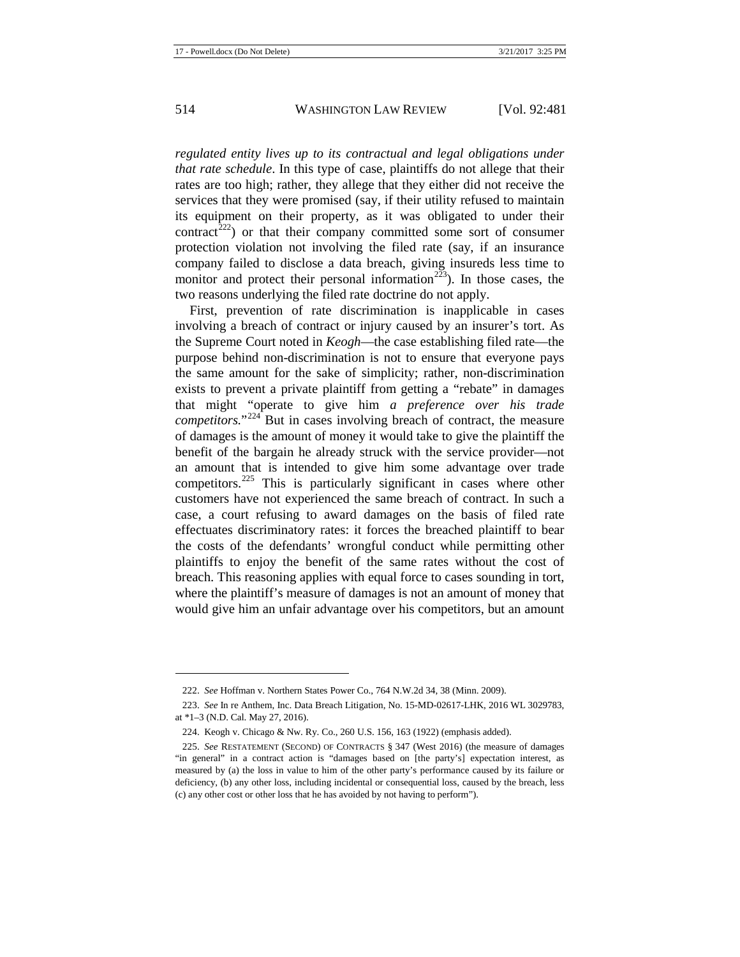*regulated entity lives up to its contractual and legal obligations under that rate schedule*. In this type of case, plaintiffs do not allege that their rates are too high; rather, they allege that they either did not receive the services that they were promised (say, if their utility refused to maintain its equipment on their property, as it was obligated to under their  $control^{222}$  $control^{222}$  $control^{222}$  or that their company committed some sort of consumer protection violation not involving the filed rate (say, if an insurance company failed to disclose a data breach, giving insureds less time to monitor and protect their personal information<sup> $2\overline{23}$ </sup>). In those cases, the two reasons underlying the filed rate doctrine do not apply.

First, prevention of rate discrimination is inapplicable in cases involving a breach of contract or injury caused by an insurer's tort. As the Supreme Court noted in *Keogh*—the case establishing filed rate—the purpose behind non-discrimination is not to ensure that everyone pays the same amount for the sake of simplicity; rather, non-discrimination exists to prevent a private plaintiff from getting a "rebate" in damages that might "operate to give him *a preference over his trade competitors.*"<sup>[224](#page-34-2)</sup> But in cases involving breach of contract, the measure of damages is the amount of money it would take to give the plaintiff the benefit of the bargain he already struck with the service provider—not an amount that is intended to give him some advantage over trade competitors.<sup>[225](#page-34-3)</sup> This is particularly significant in cases where other customers have not experienced the same breach of contract. In such a case, a court refusing to award damages on the basis of filed rate effectuates discriminatory rates: it forces the breached plaintiff to bear the costs of the defendants' wrongful conduct while permitting other plaintiffs to enjoy the benefit of the same rates without the cost of breach. This reasoning applies with equal force to cases sounding in tort, where the plaintiff's measure of damages is not an amount of money that would give him an unfair advantage over his competitors, but an amount

<sup>222.</sup> *See* Hoffman v. Northern States Power Co., 764 N.W.2d 34, 38 (Minn. 2009).

<span id="page-34-1"></span><span id="page-34-0"></span><sup>223.</sup> *See* In re Anthem, Inc. Data Breach Litigation, No. 15-MD-02617-LHK, 2016 WL 3029783, at \*1–3 (N.D. Cal. May 27, 2016).

<sup>224.</sup> Keogh v. Chicago & Nw. Ry. Co., 260 U.S. 156, 163 (1922) (emphasis added).

<span id="page-34-3"></span><span id="page-34-2"></span><sup>225.</sup> *See* RESTATEMENT (SECOND) OF CONTRACTS § 347 (West 2016) (the measure of damages "in general" in a contract action is "damages based on [the party's] expectation interest, as measured by (a) the loss in value to him of the other party's performance caused by its failure or deficiency, (b) any other loss, including incidental or consequential loss, caused by the breach, less (c) any other cost or other loss that he has avoided by not having to perform").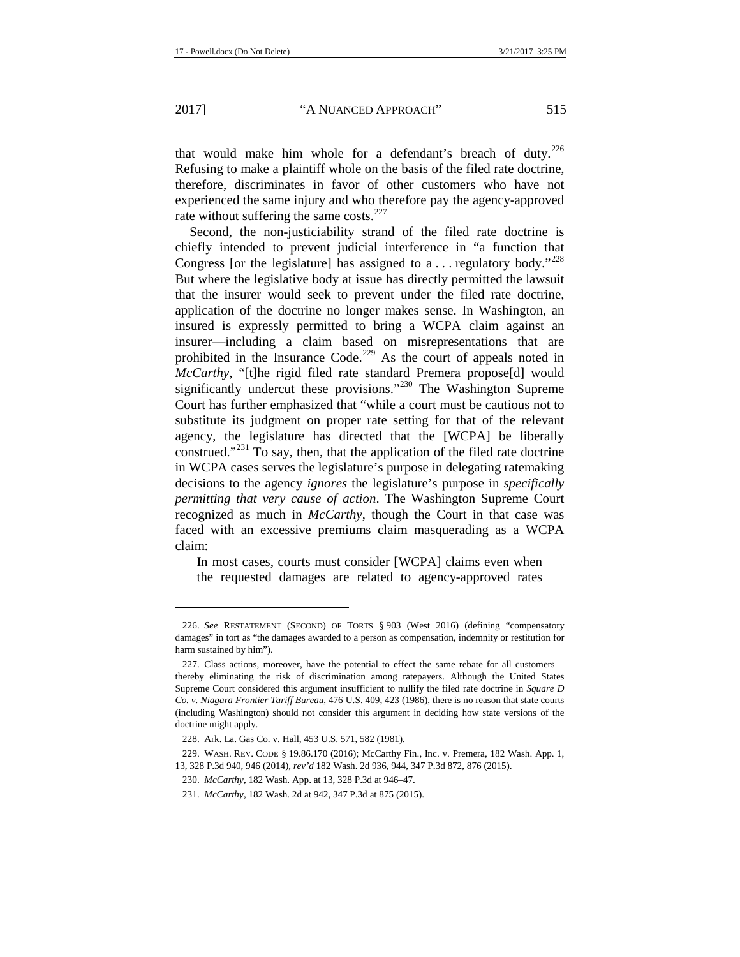$\overline{a}$ 

that would make him whole for a defendant's breach of duty. $226$ Refusing to make a plaintiff whole on the basis of the filed rate doctrine, therefore, discriminates in favor of other customers who have not experienced the same injury and who therefore pay the agency-approved rate without suffering the same costs. $227$ 

Second, the non-justiciability strand of the filed rate doctrine is chiefly intended to prevent judicial interference in "a function that Congress [or the legislature] has assigned to a ... regulatory body."<sup>[228](#page-35-2)</sup> But where the legislative body at issue has directly permitted the lawsuit that the insurer would seek to prevent under the filed rate doctrine, application of the doctrine no longer makes sense. In Washington, an insured is expressly permitted to bring a WCPA claim against an insurer—including a claim based on misrepresentations that are prohibited in the Insurance Code.<sup>[229](#page-35-3)</sup> As the court of appeals noted in *McCarthy*, "[t]he rigid filed rate standard Premera propose[d] would significantly undercut these provisions."<sup>[230](#page-35-4)</sup> The Washington Supreme Court has further emphasized that "while a court must be cautious not to substitute its judgment on proper rate setting for that of the relevant agency, the legislature has directed that the [WCPA] be liberally construed."[231](#page-35-5) To say, then, that the application of the filed rate doctrine in WCPA cases serves the legislature's purpose in delegating ratemaking decisions to the agency *ignores* the legislature's purpose in *specifically permitting that very cause of action*. The Washington Supreme Court recognized as much in *McCarthy*, though the Court in that case was faced with an excessive premiums claim masquerading as a WCPA claim:

In most cases, courts must consider [WCPA] claims even when the requested damages are related to agency-approved rates

<span id="page-35-0"></span><sup>226.</sup> *See* RESTATEMENT (SECOND) OF TORTS § 903 (West 2016) (defining "compensatory damages" in tort as "the damages awarded to a person as compensation, indemnity or restitution for harm sustained by him").

<span id="page-35-1"></span><sup>227.</sup> Class actions, moreover, have the potential to effect the same rebate for all customers thereby eliminating the risk of discrimination among ratepayers. Although the United States Supreme Court considered this argument insufficient to nullify the filed rate doctrine in *Square D Co. v. Niagara Frontier Tariff Bureau*, 476 U.S. 409, 423 (1986), there is no reason that state courts (including Washington) should not consider this argument in deciding how state versions of the doctrine might apply.

<sup>228.</sup> Ark. La. Gas Co. v. Hall, 453 U.S. 571, 582 (1981).

<span id="page-35-5"></span><span id="page-35-4"></span><span id="page-35-3"></span><span id="page-35-2"></span><sup>229.</sup> WASH. REV. CODE § 19.86.170 (2016); McCarthy Fin., Inc. v. Premera, 182 Wash. App. 1, 13, 328 P.3d 940, 946 (2014), *rev'd* 182 Wash. 2d 936, 944, 347 P.3d 872, 876 (2015).

<sup>230.</sup> *McCarthy*, 182 Wash. App. at 13, 328 P.3d at 946–47.

<sup>231.</sup> *McCarthy*, 182 Wash. 2d at 942, 347 P.3d at 875 (2015).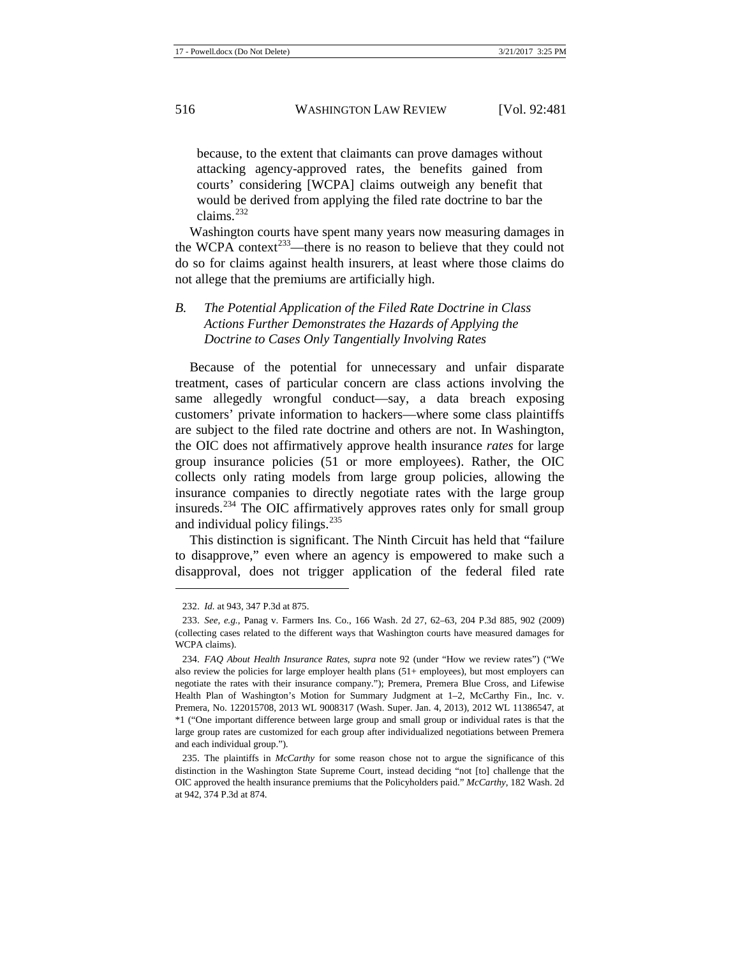because, to the extent that claimants can prove damages without attacking agency-approved rates, the benefits gained from courts' considering [WCPA] claims outweigh any benefit that would be derived from applying the filed rate doctrine to bar the claims. $^{232}$  $^{232}$  $^{232}$ 

Washington courts have spent many years now measuring damages in the WCPA context<sup>233</sup>—there is no reason to believe that they could not do so for claims against health insurers, at least where those claims do not allege that the premiums are artificially high.

# *B. The Potential Application of the Filed Rate Doctrine in Class Actions Further Demonstrates the Hazards of Applying the Doctrine to Cases Only Tangentially Involving Rates*

Because of the potential for unnecessary and unfair disparate treatment, cases of particular concern are class actions involving the same allegedly wrongful conduct—say, a data breach exposing customers' private information to hackers—where some class plaintiffs are subject to the filed rate doctrine and others are not. In Washington, the OIC does not affirmatively approve health insurance *rates* for large group insurance policies (51 or more employees). Rather, the OIC collects only rating models from large group policies, allowing the insurance companies to directly negotiate rates with the large group insureds.<sup>[234](#page-36-2)</sup> The OIC affirmatively approves rates only for small group and individual policy filings.  $235$ 

This distinction is significant. The Ninth Circuit has held that "failure to disapprove," even where an agency is empowered to make such a disapproval, does not trigger application of the federal filed rate

<sup>232.</sup> *Id.* at 943, 347 P.3d at 875.

<span id="page-36-1"></span><span id="page-36-0"></span><sup>233.</sup> *See, e.g.*, Panag v. Farmers Ins. Co., 166 Wash. 2d 27, 62–63, 204 P.3d 885, 902 (2009) (collecting cases related to the different ways that Washington courts have measured damages for WCPA claims).

<span id="page-36-2"></span><sup>234.</sup> *FAQ About Health Insurance Rates*, *supra* note [92](#page-15-0) (under "How we review rates") ("We also review the policies for large employer health plans (51+ employees), but most employers can negotiate the rates with their insurance company."); Premera, Premera Blue Cross, and Lifewise Health Plan of Washington's Motion for Summary Judgment at 1–2, McCarthy Fin., Inc. v. Premera, No. 122015708, 2013 WL 9008317 (Wash. Super. Jan. 4, 2013), 2012 WL 11386547, at \*1 ("One important difference between large group and small group or individual rates is that the large group rates are customized for each group after individualized negotiations between Premera and each individual group.").

<span id="page-36-3"></span><sup>235.</sup> The plaintiffs in *McCarthy* for some reason chose not to argue the significance of this distinction in the Washington State Supreme Court, instead deciding "not [to] challenge that the OIC approved the health insurance premiums that the Policyholders paid." *McCarthy*, 182 Wash. 2d at 942, 374 P.3d at 874.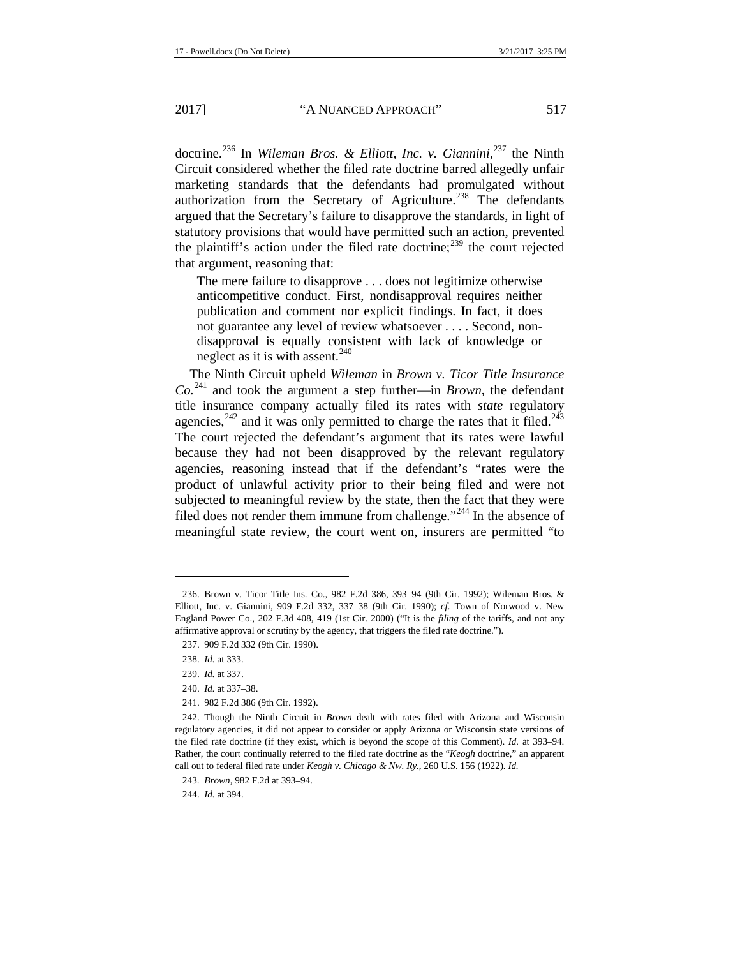doctrine.[236](#page-37-0) In *Wileman Bros. & Elliott, Inc. v. Giannini*, [237](#page-37-1) the Ninth Circuit considered whether the filed rate doctrine barred allegedly unfair marketing standards that the defendants had promulgated without authorization from the Secretary of Agriculture.<sup>[238](#page-37-2)</sup> The defendants argued that the Secretary's failure to disapprove the standards, in light of statutory provisions that would have permitted such an action, prevented the plaintiff's action under the filed rate doctrine;<sup>[239](#page-37-3)</sup> the court rejected that argument, reasoning that:

The mere failure to disapprove . . . does not legitimize otherwise anticompetitive conduct. First, nondisapproval requires neither publication and comment nor explicit findings. In fact, it does not guarantee any level of review whatsoever . . . . Second, nondisapproval is equally consistent with lack of knowledge or neglect as it is with assent.<sup>[240](#page-37-4)</sup>

The Ninth Circuit upheld *Wileman* in *Brown v. Ticor Title Insurance*   $Co^{241}$  $Co^{241}$  $Co^{241}$  and took the argument a step further—in *Brown*, the defendant title insurance company actually filed its rates with *state* regulatory agencies,<sup>[242](#page-37-6)</sup> and it was only permitted to charge the rates that it filed.<sup>[243](#page-37-7)</sup> The court rejected the defendant's argument that its rates were lawful because they had not been disapproved by the relevant regulatory agencies, reasoning instead that if the defendant's "rates were the product of unlawful activity prior to their being filed and were not subjected to meaningful review by the state, then the fact that they were filed does not render them immune from challenge."[244](#page-37-8) In the absence of meaningful state review, the court went on, insurers are permitted "to

**.** 

241. 982 F.2d 386 (9th Cir. 1992).

<span id="page-37-8"></span>244. *Id.* at 394.

<span id="page-37-0"></span><sup>236.</sup> Brown v. Ticor Title Ins. Co., 982 F.2d 386, 393–94 (9th Cir. 1992); Wileman Bros. & Elliott, Inc. v. Giannini, 909 F.2d 332, 337–38 (9th Cir. 1990); *cf.* Town of Norwood v. New England Power Co., 202 F.3d 408, 419 (1st Cir. 2000) ("It is the *filing* of the tariffs, and not any affirmative approval or scrutiny by the agency, that triggers the filed rate doctrine.").

<span id="page-37-1"></span><sup>237.</sup> 909 F.2d 332 (9th Cir. 1990).

<span id="page-37-2"></span><sup>238.</sup> *Id.* at 333.

<sup>239.</sup> *Id.* at 337.

<sup>240.</sup> *Id.* at 337–38.

<span id="page-37-6"></span><span id="page-37-5"></span><span id="page-37-4"></span><span id="page-37-3"></span><sup>242.</sup> Though the Ninth Circuit in *Brown* dealt with rates filed with Arizona and Wisconsin regulatory agencies, it did not appear to consider or apply Arizona or Wisconsin state versions of the filed rate doctrine (if they exist, which is beyond the scope of this Comment). *Id.* at 393–94. Rather, the court continually referred to the filed rate doctrine as the "*Keogh* doctrine," an apparent call out to federal filed rate under *Keogh v. Chicago & Nw. Ry.*, 260 U.S. 156 (1922). *Id.* 

<span id="page-37-7"></span><sup>243.</sup> *Brown*, 982 F.2d at 393–94.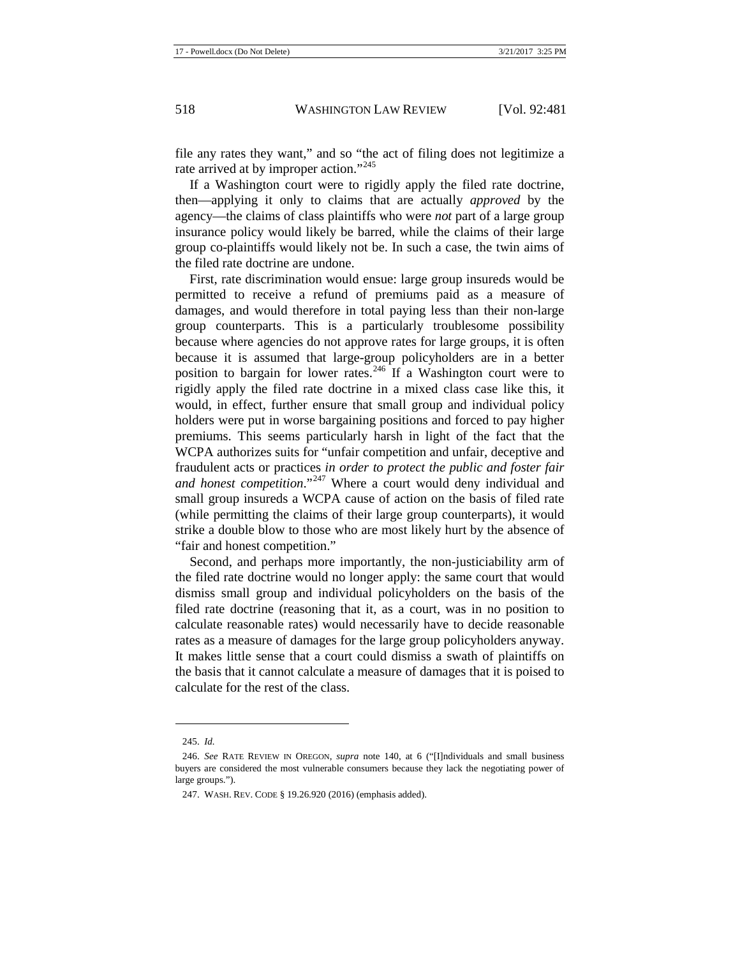file any rates they want," and so "the act of filing does not legitimize a rate arrived at by improper action."<sup>[245](#page-38-0)</sup>

If a Washington court were to rigidly apply the filed rate doctrine, then—applying it only to claims that are actually *approved* by the agency—the claims of class plaintiffs who were *not* part of a large group insurance policy would likely be barred, while the claims of their large group co-plaintiffs would likely not be. In such a case, the twin aims of the filed rate doctrine are undone.

First, rate discrimination would ensue: large group insureds would be permitted to receive a refund of premiums paid as a measure of damages, and would therefore in total paying less than their non-large group counterparts. This is a particularly troublesome possibility because where agencies do not approve rates for large groups, it is often because it is assumed that large-group policyholders are in a better position to bargain for lower rates.<sup>[246](#page-38-1)</sup> If a Washington court were to rigidly apply the filed rate doctrine in a mixed class case like this, it would, in effect, further ensure that small group and individual policy holders were put in worse bargaining positions and forced to pay higher premiums. This seems particularly harsh in light of the fact that the WCPA authorizes suits for "unfair competition and unfair, deceptive and fraudulent acts or practices *in order to protect the public and foster fair*  and honest competition."<sup>[247](#page-38-2)</sup> Where a court would deny individual and small group insureds a WCPA cause of action on the basis of filed rate (while permitting the claims of their large group counterparts), it would strike a double blow to those who are most likely hurt by the absence of "fair and honest competition."

Second, and perhaps more importantly, the non-justiciability arm of the filed rate doctrine would no longer apply: the same court that would dismiss small group and individual policyholders on the basis of the filed rate doctrine (reasoning that it, as a court, was in no position to calculate reasonable rates) would necessarily have to decide reasonable rates as a measure of damages for the large group policyholders anyway. It makes little sense that a court could dismiss a swath of plaintiffs on the basis that it cannot calculate a measure of damages that it is poised to calculate for the rest of the class.

<sup>245.</sup> *Id.* 

<span id="page-38-2"></span><span id="page-38-1"></span><span id="page-38-0"></span><sup>246.</sup> *See* RATE REVIEW IN OREGON, *supra* note [140,](#page-22-9) at 6 ("[I]ndividuals and small business buyers are considered the most vulnerable consumers because they lack the negotiating power of large groups.").

<sup>247.</sup> WASH. REV. CODE § 19.26.920 (2016) (emphasis added).